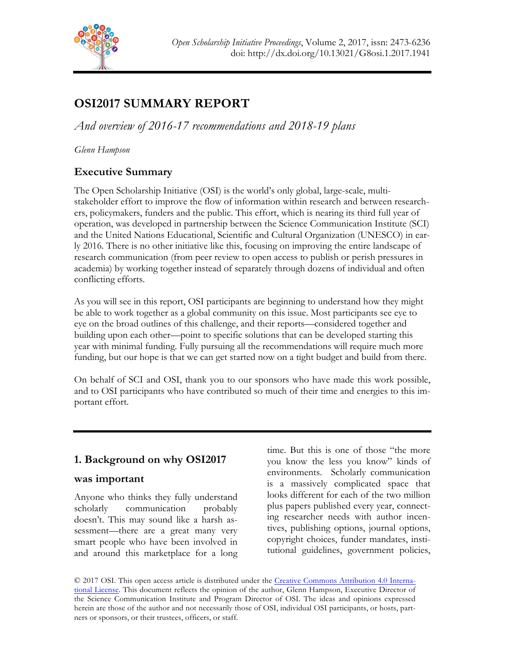

# **OSI2017 SUMMARY REPORT**

*And overview of 2016-17 recommendations and 2018-19 plans*

*Glenn Hampson*

# **Executive Summary**

The Open Scholarship Initiative (OSI) is the world's only global, large-scale, multistakeholder effort to improve the flow of information within research and between researchers, policymakers, funders and the public. This effort, which is nearing its third full year of operation, was developed in partnership between the Science Communication Institute (SCI) and the United Nations Educational, Scientific and Cultural Organization (UNESCO) in early 2016. There is no other initiative like this, focusing on improving the entire landscape of research communication (from peer review to open access to publish or perish pressures in academia) by working together instead of separately through dozens of individual and often conflicting efforts.

As you will see in this report, OSI participants are beginning to understand how they might be able to work together as a global community on this issue. Most participants see eye to eye on the broad outlines of this challenge, and their reports—considered together and building upon each other—point to specific solutions that can be developed starting this year with minimal funding. Fully pursuing all the recommendations will require much more funding, but our hope is that we can get started now on a tight budget and build from there.

On behalf of SCI and OSI, thank you to our sponsors who have made this work possible, and to OSI participants who have contributed so much of their time and energies to this important effort.

# **1. Background on why OSI2017**

# **was important**

Anyone who thinks they fully understand scholarly communication probably doesn't. This may sound like a harsh assessment—there are a great many very smart people who have been involved in and around this marketplace for a long

time. But this is one of those "the more you know the less you know" kinds of environments. Scholarly communication is a massively complicated space that looks different for each of the two million plus papers published every year, connecting researcher needs with author incentives, publishing options, journal options, copyright choices, funder mandates, institutional guidelines, government policies,

© 2017 OSI. This open access article is distributed under the Creative Commons Attribution 4.0 International License. This document reflects the opinion of the author, Glenn Hampson, Executive Director of the Science Communication Institute and Program Director of OSI. The ideas and opinions expressed herein are those of the author and not necessarily those of OSI, individual OSI participants, or hosts, partners or sponsors, or their trustees, officers, or staff.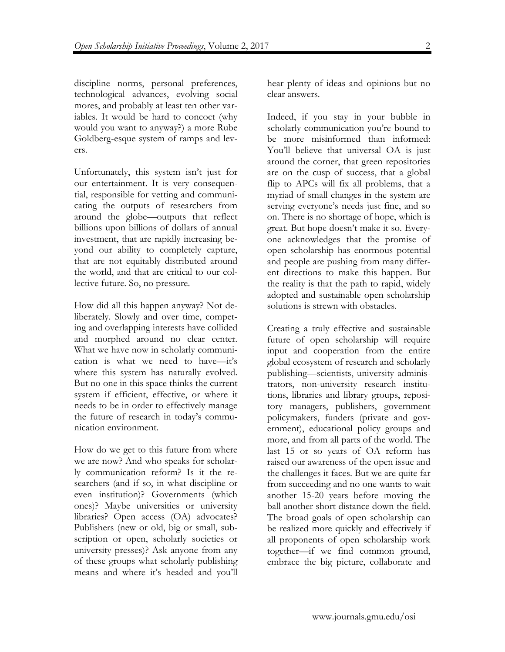discipline norms, personal preferences, technological advances, evolving social mores, and probably at least ten other variables. It would be hard to concoct (why would you want to anyway?) a more Rube Goldberg-esque system of ramps and levers.

Unfortunately, this system isn't just for our entertainment. It is very consequential, responsible for vetting and communicating the outputs of researchers from around the globe—outputs that reflect billions upon billions of dollars of annual investment, that are rapidly increasing beyond our ability to completely capture, that are not equitably distributed around the world, and that are critical to our collective future. So, no pressure.

How did all this happen anyway? Not deliberately. Slowly and over time, competing and overlapping interests have collided and morphed around no clear center. What we have now in scholarly communication is what we need to have—it's where this system has naturally evolved. But no one in this space thinks the current system if efficient, effective, or where it needs to be in order to effectively manage the future of research in today's communication environment.

How do we get to this future from where we are now? And who speaks for scholarly communication reform? Is it the researchers (and if so, in what discipline or even institution)? Governments (which ones)? Maybe universities or university libraries? Open access (OA) advocates? Publishers (new or old, big or small, subscription or open, scholarly societies or university presses)? Ask anyone from any of these groups what scholarly publishing means and where it's headed and you'll

hear plenty of ideas and opinions but no clear answers.

Indeed, if you stay in your bubble in scholarly communication you're bound to be more misinformed than informed: You'll believe that universal OA is just around the corner, that green repositories are on the cusp of success, that a global flip to APCs will fix all problems, that a myriad of small changes in the system are serving everyone's needs just fine, and so on. There is no shortage of hope, which is great. But hope doesn't make it so. Everyone acknowledges that the promise of open scholarship has enormous potential and people are pushing from many different directions to make this happen. But the reality is that the path to rapid, widely adopted and sustainable open scholarship solutions is strewn with obstacles.

Creating a truly effective and sustainable future of open scholarship will require input and cooperation from the entire global ecosystem of research and scholarly publishing—scientists, university administrators, non-university research institutions, libraries and library groups, repository managers, publishers, government policymakers, funders (private and government), educational policy groups and more, and from all parts of the world. The last 15 or so years of OA reform has raised our awareness of the open issue and the challenges it faces. But we are quite far from succeeding and no one wants to wait another 15-20 years before moving the ball another short distance down the field. The broad goals of open scholarship can be realized more quickly and effectively if all proponents of open scholarship work together—if we find common ground, embrace the big picture, collaborate and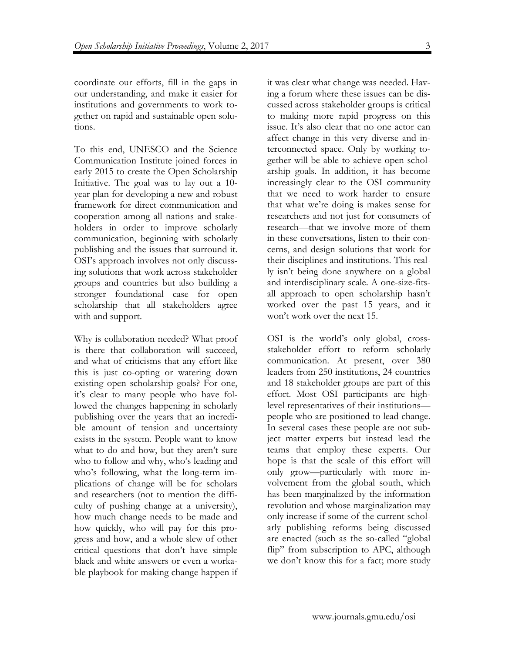coordinate our efforts, fill in the gaps in our understanding, and make it easier for institutions and governments to work together on rapid and sustainable open solutions.

To this end, UNESCO and the Science Communication Institute joined forces in early 2015 to create the Open Scholarship Initiative. The goal was to lay out a 10 year plan for developing a new and robust framework for direct communication and cooperation among all nations and stakeholders in order to improve scholarly communication, beginning with scholarly publishing and the issues that surround it. OSI's approach involves not only discussing solutions that work across stakeholder groups and countries but also building a stronger foundational case for open scholarship that all stakeholders agree with and support.

Why is collaboration needed? What proof is there that collaboration will succeed, and what of criticisms that any effort like this is just co-opting or watering down existing open scholarship goals? For one, it's clear to many people who have followed the changes happening in scholarly publishing over the years that an incredible amount of tension and uncertainty exists in the system. People want to know what to do and how, but they aren't sure who to follow and why, who's leading and who's following, what the long-term implications of change will be for scholars and researchers (not to mention the difficulty of pushing change at a university), how much change needs to be made and how quickly, who will pay for this progress and how, and a whole slew of other critical questions that don't have simple black and white answers or even a workable playbook for making change happen if

it was clear what change was needed. Having a forum where these issues can be discussed across stakeholder groups is critical to making more rapid progress on this issue. It's also clear that no one actor can affect change in this very diverse and interconnected space. Only by working together will be able to achieve open scholarship goals. In addition, it has become increasingly clear to the OSI community that we need to work harder to ensure that what we're doing is makes sense for researchers and not just for consumers of research—that we involve more of them in these conversations, listen to their concerns, and design solutions that work for their disciplines and institutions. This really isn't being done anywhere on a global and interdisciplinary scale. A one-size-fitsall approach to open scholarship hasn't worked over the past 15 years, and it won't work over the next 15.

OSI is the world's only global, crossstakeholder effort to reform scholarly communication. At present, over 380 leaders from 250 institutions, 24 countries and 18 stakeholder groups are part of this effort. Most OSI participants are highlevel representatives of their institutions people who are positioned to lead change. In several cases these people are not subject matter experts but instead lead the teams that employ these experts. Our hope is that the scale of this effort will only grow—particularly with more involvement from the global south, which has been marginalized by the information revolution and whose marginalization may only increase if some of the current scholarly publishing reforms being discussed are enacted (such as the so-called "global flip" from subscription to APC, although we don't know this for a fact; more study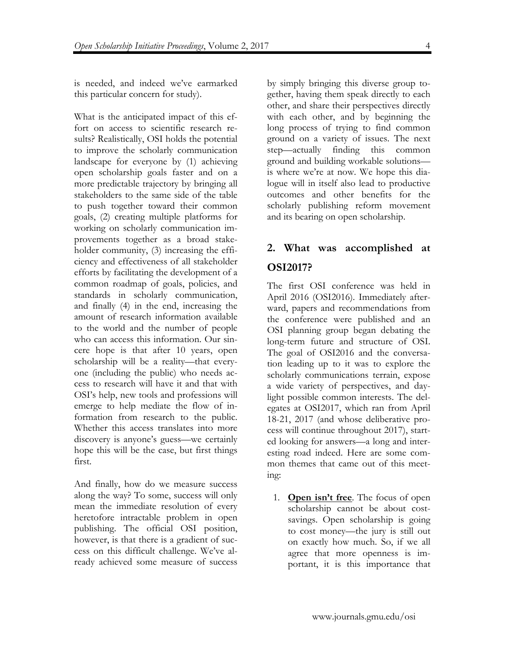is needed, and indeed we've earmarked this particular concern for study).

What is the anticipated impact of this effort on access to scientific research results? Realistically, OSI holds the potential to improve the scholarly communication landscape for everyone by (1) achieving open scholarship goals faster and on a more predictable trajectory by bringing all stakeholders to the same side of the table to push together toward their common goals, (2) creating multiple platforms for working on scholarly communication improvements together as a broad stakeholder community, (3) increasing the efficiency and effectiveness of all stakeholder efforts by facilitating the development of a common roadmap of goals, policies, and standards in scholarly communication, and finally (4) in the end, increasing the amount of research information available to the world and the number of people who can access this information. Our sincere hope is that after 10 years, open scholarship will be a reality—that everyone (including the public) who needs access to research will have it and that with OSI's help, new tools and professions will emerge to help mediate the flow of information from research to the public. Whether this access translates into more discovery is anyone's guess—we certainly hope this will be the case, but first things first.

And finally, how do we measure success along the way? To some, success will only mean the immediate resolution of every heretofore intractable problem in open publishing. The official OSI position, however, is that there is a gradient of success on this difficult challenge. We've already achieved some measure of success

by simply bringing this diverse group together, having them speak directly to each other, and share their perspectives directly with each other, and by beginning the long process of trying to find common ground on a variety of issues. The next step—actually finding this common ground and building workable solutions is where we're at now. We hope this dialogue will in itself also lead to productive outcomes and other benefits for the scholarly publishing reform movement and its bearing on open scholarship.

# **2. What was accomplished at OSI2017?**

The first OSI conference was held in April 2016 (OSI2016). Immediately afterward, papers and recommendations from the conference were published and an OSI planning group began debating the long-term future and structure of OSI. The goal of OSI2016 and the conversation leading up to it was to explore the scholarly communications terrain, expose a wide variety of perspectives, and daylight possible common interests. The delegates at OSI2017, which ran from April 18-21, 2017 (and whose deliberative process will continue throughout 2017), started looking for answers—a long and interesting road indeed. Here are some common themes that came out of this meeting:

1. **Open isn't free**. The focus of open scholarship cannot be about costsavings. Open scholarship is going to cost money—the jury is still out on exactly how much. So, if we all agree that more openness is important, it is this importance that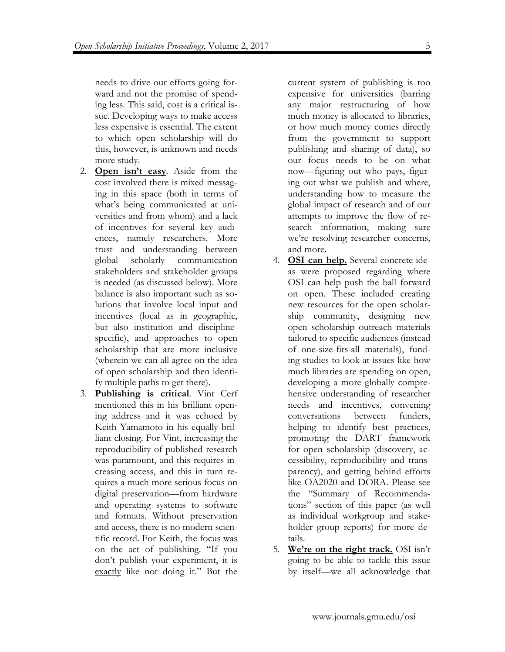needs to drive our efforts going forward and not the promise of spending less. This said, cost is a critical issue. Developing ways to make access less expensive is essential. The extent to which open scholarship will do this, however, is unknown and needs more study.

- 2. **Open isn't easy**. Aside from the cost involved there is mixed messaging in this space (both in terms of what's being communicated at universities and from whom) and a lack of incentives for several key audiences, namely researchers. More trust and understanding between global scholarly communication stakeholders and stakeholder groups is needed (as discussed below). More balance is also important such as solutions that involve local input and incentives (local as in geographic, but also institution and disciplinespecific), and approaches to open scholarship that are more inclusive (wherein we can all agree on the idea of open scholarship and then identify multiple paths to get there).
- 3. **Publishing is critical**. Vint Cerf mentioned this in his brilliant opening address and it was echoed by Keith Yamamoto in his equally brilliant closing. For Vint, increasing the reproducibility of published research was paramount, and this requires increasing access, and this in turn requires a much more serious focus on digital preservation—from hardware and operating systems to software and formats. Without preservation and access, there is no modern scientific record. For Keith, the focus was on the act of publishing. "If you don't publish your experiment, it is exactly like not doing it." But the

current system of publishing is too expensive for universities (barring any major restructuring of how much money is allocated to libraries, or how much money comes directly from the government to support publishing and sharing of data), so our focus needs to be on what now—figuring out who pays, figuring out what we publish and where, understanding how to measure the global impact of research and of our attempts to improve the flow of research information, making sure we're resolving researcher concerns, and more.

- 4. **OSI can help.** Several concrete ideas were proposed regarding where OSI can help push the ball forward on open. These included creating new resources for the open scholarship community, designing new open scholarship outreach materials tailored to specific audiences (instead of one-size-fits-all materials), funding studies to look at issues like how much libraries are spending on open, developing a more globally comprehensive understanding of researcher needs and incentives, convening conversations between funders, helping to identify best practices, promoting the DART framework for open scholarship (discovery, accessibility, reproducibility and transparency), and getting behind efforts like OA2020 and DORA. Please see the "Summary of Recommendations" section of this paper (as well as individual workgroup and stakeholder group reports) for more details.
- 5. **We're on the right track.** OSI isn't going to be able to tackle this issue by itself—we all acknowledge that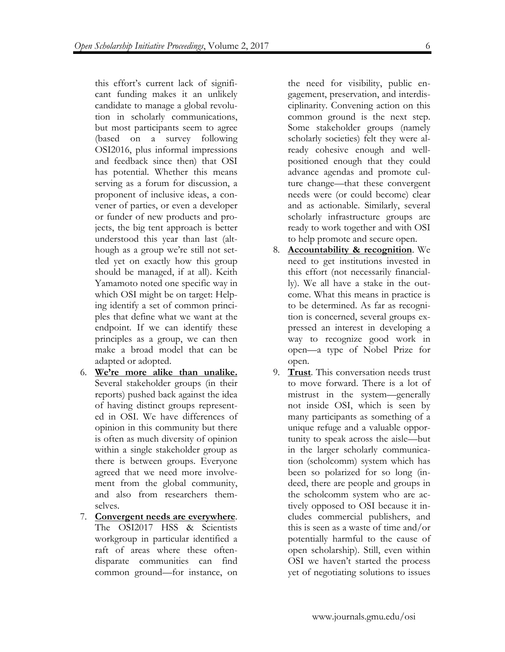this effort's current lack of significant funding makes it an unlikely candidate to manage a global revolution in scholarly communications, but most participants seem to agree (based on a survey following OSI2016, plus informal impressions and feedback since then) that OSI has potential. Whether this means serving as a forum for discussion, a proponent of inclusive ideas, a convener of parties, or even a developer or funder of new products and projects, the big tent approach is better understood this year than last (although as a group we're still not settled yet on exactly how this group should be managed, if at all). Keith Yamamoto noted one specific way in which OSI might be on target: Helping identify a set of common principles that define what we want at the endpoint. If we can identify these principles as a group, we can then make a broad model that can be adapted or adopted.

- 6. **We're more alike than unalike.** Several stakeholder groups (in their reports) pushed back against the idea of having distinct groups represented in OSI. We have differences of opinion in this community but there is often as much diversity of opinion within a single stakeholder group as there is between groups. Everyone agreed that we need more involvement from the global community, and also from researchers themselves.
- 7. **Convergent needs are everywhere**. The OSI2017 HSS & Scientists workgroup in particular identified a raft of areas where these oftendisparate communities can find common ground—for instance, on

the need for visibility, public engagement, preservation, and interdisciplinarity. Convening action on this common ground is the next step. Some stakeholder groups (namely scholarly societies) felt they were already cohesive enough and wellpositioned enough that they could advance agendas and promote culture change—that these convergent needs were (or could become) clear and as actionable. Similarly, several scholarly infrastructure groups are ready to work together and with OSI to help promote and secure open.

- 8. **Accountability & recognition**. We need to get institutions invested in this effort (not necessarily financially). We all have a stake in the outcome. What this means in practice is to be determined. As far as recognition is concerned, several groups expressed an interest in developing a way to recognize good work in open—a type of Nobel Prize for open.
- 9. **Trust**. This conversation needs trust to move forward. There is a lot of mistrust in the system—generally not inside OSI, which is seen by many participants as something of a unique refuge and a valuable opportunity to speak across the aisle—but in the larger scholarly communication (scholcomm) system which has been so polarized for so long (indeed, there are people and groups in the scholcomm system who are actively opposed to OSI because it includes commercial publishers, and this is seen as a waste of time and/or potentially harmful to the cause of open scholarship). Still, even within OSI we haven't started the process yet of negotiating solutions to issues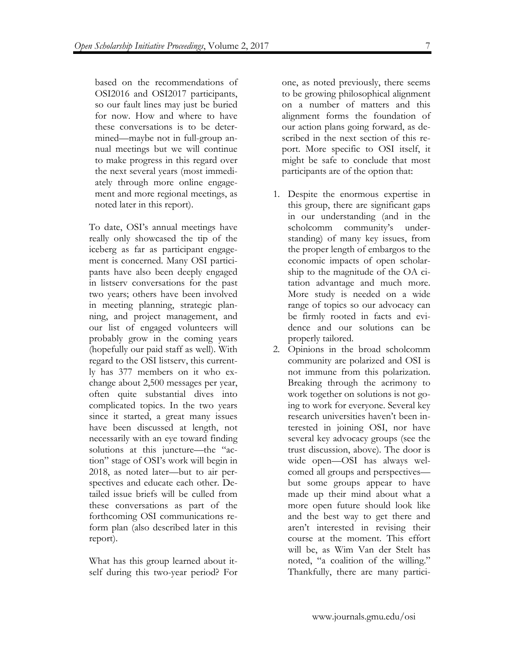based on the recommendations of OSI2016 and OSI2017 participants, so our fault lines may just be buried for now. How and where to have these conversations is to be determined—maybe not in full-group annual meetings but we will continue to make progress in this regard over the next several years (most immediately through more online engagement and more regional meetings, as noted later in this report).

To date, OSI's annual meetings have really only showcased the tip of the iceberg as far as participant engagement is concerned. Many OSI participants have also been deeply engaged in listserv conversations for the past two years; others have been involved in meeting planning, strategic planning, and project management, and our list of engaged volunteers will probably grow in the coming years (hopefully our paid staff as well). With regard to the OSI listserv, this currently has 377 members on it who exchange about 2,500 messages per year, often quite substantial dives into complicated topics. In the two years since it started, a great many issues have been discussed at length, not necessarily with an eye toward finding solutions at this juncture—the "action" stage of OSI's work will begin in 2018, as noted later—but to air perspectives and educate each other. Detailed issue briefs will be culled from these conversations as part of the forthcoming OSI communications reform plan (also described later in this report).

What has this group learned about itself during this two-year period? For one, as noted previously, there seems to be growing philosophical alignment on a number of matters and this alignment forms the foundation of our action plans going forward, as described in the next section of this report. More specific to OSI itself, it might be safe to conclude that most participants are of the option that:

- 1. Despite the enormous expertise in this group, there are significant gaps in our understanding (and in the scholcomm community's understanding) of many key issues, from the proper length of embargos to the economic impacts of open scholarship to the magnitude of the OA citation advantage and much more. More study is needed on a wide range of topics so our advocacy can be firmly rooted in facts and evidence and our solutions can be properly tailored.
- 2. Opinions in the broad scholcomm community are polarized and OSI is not immune from this polarization. Breaking through the acrimony to work together on solutions is not going to work for everyone. Several key research universities haven't been interested in joining OSI, nor have several key advocacy groups (see the trust discussion, above). The door is wide open—OSI has always welcomed all groups and perspectives but some groups appear to have made up their mind about what a more open future should look like and the best way to get there and aren't interested in revising their course at the moment. This effort will be, as Wim Van der Stelt has noted, "a coalition of the willing." Thankfully, there are many partici-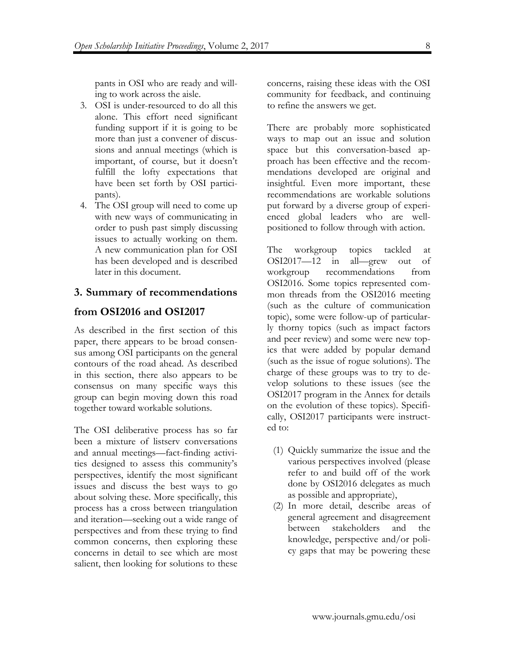pants in OSI who are ready and willing to work across the aisle.

- 3. OSI is under-resourced to do all this alone. This effort need significant funding support if it is going to be more than just a convener of discussions and annual meetings (which is important, of course, but it doesn't fulfill the lofty expectations that have been set forth by OSI participants).
- 4. The OSI group will need to come up with new ways of communicating in order to push past simply discussing issues to actually working on them. A new communication plan for OSI has been developed and is described later in this document.

# **3. Summary of recommendations**

# **from OSI2016 and OSI2017**

As described in the first section of this paper, there appears to be broad consensus among OSI participants on the general contours of the road ahead. As described in this section, there also appears to be consensus on many specific ways this group can begin moving down this road together toward workable solutions.

The OSI deliberative process has so far been a mixture of listserv conversations and annual meetings—fact-finding activities designed to assess this community's perspectives, identify the most significant issues and discuss the best ways to go about solving these. More specifically, this process has a cross between triangulation and iteration—seeking out a wide range of perspectives and from these trying to find common concerns, then exploring these concerns in detail to see which are most salient, then looking for solutions to these concerns, raising these ideas with the OSI community for feedback, and continuing to refine the answers we get.

There are probably more sophisticated ways to map out an issue and solution space but this conversation-based approach has been effective and the recommendations developed are original and insightful. Even more important, these recommendations are workable solutions put forward by a diverse group of experienced global leaders who are wellpositioned to follow through with action.

The workgroup topics tackled at OSI2017—12 in all—grew out of workgroup recommendations from OSI2016. Some topics represented common threads from the OSI2016 meeting (such as the culture of communication topic), some were follow-up of particularly thorny topics (such as impact factors and peer review) and some were new topics that were added by popular demand (such as the issue of rogue solutions). The charge of these groups was to try to develop solutions to these issues (see the OSI2017 program in the Annex for details on the evolution of these topics). Specifically, OSI2017 participants were instructed to:

- (1) Quickly summarize the issue and the various perspectives involved (please refer to and build off of the work done by OSI2016 delegates as much as possible and appropriate),
- (2) In more detail, describe areas of general agreement and disagreement between stakeholders and the knowledge, perspective and/or policy gaps that may be powering these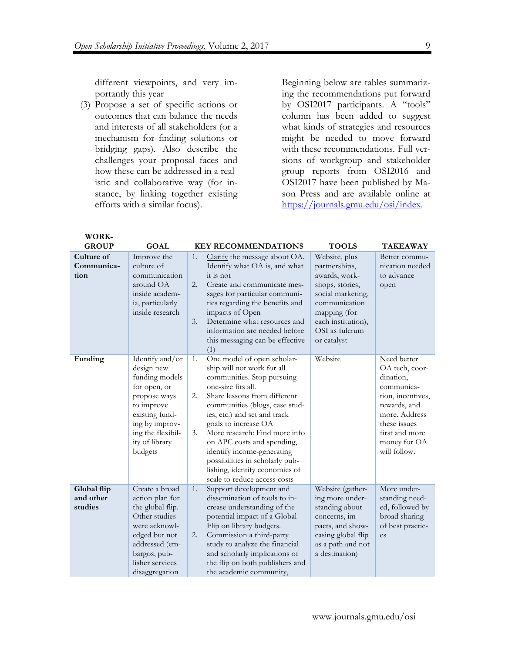different viewpoints, and very importantly this year

(3) Propose a set of specific actions or outcomes that can balance the needs and interests of all stakeholders (or a mechanism for finding solutions or bridging gaps). Also describe the challenges your proposal faces and how these can be addressed in a realistic and collaborative way (for instance, by linking together existing efforts with a similar focus).

Beginning below are tables summarizing the recommendations put forward by OSI2017 participants. A "tools" column has been added to suggest what kinds of strategies and resources might be needed to move forward with these recommendations. Full versions of workgroup and stakeholder group reports from OSI2016 and OSI2017 have been published by Mason Press and are available online at https://journals.gmu.edu/osi/index.

| <b>GROUP</b>                        | <b>GOAL</b>                                                                                                                                                                         | <b>KEY RECOMMENDATIONS</b><br><b>TOOLS</b>                                                                                                                                                                                                                                                                                                                                                                                                                                                                        | <b>TAKEAWAY</b>                                                                                                                                                                  |
|-------------------------------------|-------------------------------------------------------------------------------------------------------------------------------------------------------------------------------------|-------------------------------------------------------------------------------------------------------------------------------------------------------------------------------------------------------------------------------------------------------------------------------------------------------------------------------------------------------------------------------------------------------------------------------------------------------------------------------------------------------------------|----------------------------------------------------------------------------------------------------------------------------------------------------------------------------------|
| Culture of<br>Communica-<br>tion    | Improve the<br>culture of<br>communication<br>around OA<br>inside academ-<br>ia, particularly<br>inside research                                                                    | Clarify the message about OA.<br>Website, plus<br>1.<br>Identify what OA is, and what<br>partnerships,<br>it is not<br>awards, work-<br>2.<br>shops, stories,<br>Create and communicate mes-<br>sages for particular communi-<br>social marketing,<br>ties regarding the benefits and<br>communication<br>impacts of Open<br>mapping (for<br>Determine what resources and<br>each institution),<br>3.<br>OSI as fulcrum<br>information are needed before<br>this messaging can be effective<br>or catalyst<br>(1) | Better commu-<br>nication needed<br>to advance<br>open                                                                                                                           |
| Funding                             | Identify and/or<br>design new<br>funding models<br>for open, or<br>propose ways<br>to improve<br>existing fund-<br>ing by improv-<br>ing the flexibil-<br>ity of library<br>budgets | One model of open scholar-<br>Website<br>1.<br>ship will not work for all<br>communities. Stop pursuing<br>one-size fits all.<br>Share lessons from different<br>2.<br>communities (blogs, case stud-<br>ies, etc.) and set and track<br>goals to increase OA<br>More research: Find more info<br>3.<br>on APC costs and spending,<br>identify income-generating<br>possibilities in scholarly pub-<br>lishing, identify economies of<br>scale to reduce access costs                                             | Need better<br>OA tech, coor-<br>dination,<br>communica-<br>tion, incentives,<br>rewards, and<br>more. Address<br>these issues<br>first and more<br>money for OA<br>will follow. |
| Global flip<br>and other<br>studies | Create a broad<br>action plan for<br>the global flip.<br>Other studies<br>were acknowl-<br>edged but not<br>addressed (em-<br>bargos, pub-<br>lisher services<br>disaggregation     | Support development and<br>1.<br>Website (gather-<br>dissemination of tools to in-<br>ing more under-<br>crease understanding of the<br>standing about<br>potential impact of a Global<br>concerns, im-<br>Flip on library budgets.<br>pacts, and show-<br>Commission a third-party<br>casing global flip<br>2.<br>es<br>study to analyze the financial<br>as a path and not<br>and scholarly implications of<br>a destination)<br>the flip on both publishers and<br>the academic community,                     | More under-<br>standing need-<br>ed, followed by<br>broad sharing<br>of best practic-                                                                                            |

**WORK-**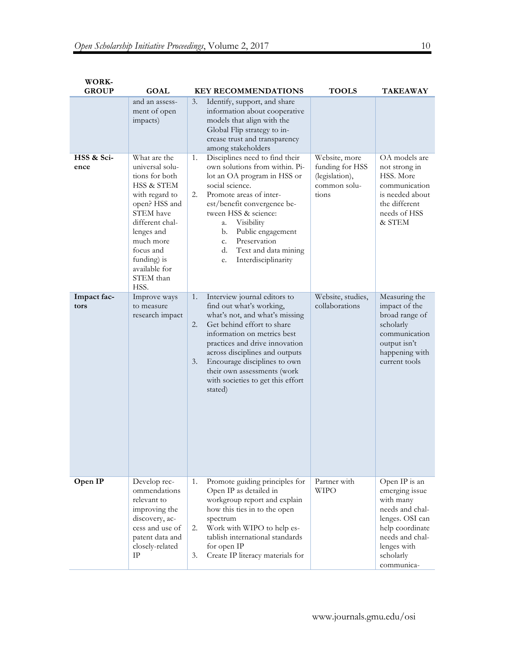| <b>WORK-</b><br><b>GROUP</b> | <b>GOAL</b>                                                                                                                                                                                                                                       | <b>KEY RECOMMENDATIONS</b>                                                                                                                                                                                                                                                                                                                                   | <b>TOOLS</b>                                                                | <b>TAKEAWAY</b>                                                                                                                                                    |
|------------------------------|---------------------------------------------------------------------------------------------------------------------------------------------------------------------------------------------------------------------------------------------------|--------------------------------------------------------------------------------------------------------------------------------------------------------------------------------------------------------------------------------------------------------------------------------------------------------------------------------------------------------------|-----------------------------------------------------------------------------|--------------------------------------------------------------------------------------------------------------------------------------------------------------------|
|                              | and an assess-<br>ment of open<br>impacts)                                                                                                                                                                                                        | 3.<br>Identify, support, and share<br>information about cooperative<br>models that align with the<br>Global Flip strategy to in-<br>crease trust and transparency<br>among stakeholders                                                                                                                                                                      |                                                                             |                                                                                                                                                                    |
| HSS & Sci-<br>ence           | What are the<br>universal solu-<br>tions for both<br><b>HSS &amp; STEM</b><br>with regard to<br>open? HSS and<br><b>STEM</b> have<br>different chal-<br>lenges and<br>much more<br>focus and<br>funding) is<br>available for<br>STEM than<br>HSS. | Disciplines need to find their<br>1.<br>own solutions from within. Pi-<br>lot an OA program in HSS or<br>social science.<br>Promote areas of inter-<br>2.<br>est/benefit convergence be-<br>tween HSS & science:<br>Visibility<br>a.<br>Public engagement<br>b.<br>Preservation<br>c.<br>Text and data mining<br>d.<br>Interdisciplinarity<br>e.             | Website, more<br>funding for HSS<br>(legislation),<br>common solu-<br>tions | OA models are<br>not strong in<br>HSS. More<br>communication<br>is needed about<br>the different<br>needs of HSS<br>& STEM                                         |
| Impact fac-<br>tors          | Improve ways<br>to measure<br>research impact                                                                                                                                                                                                     | Interview journal editors to<br>1.<br>find out what's working,<br>what's not, and what's missing<br>Get behind effort to share<br>2.<br>information on metrics best<br>practices and drive innovation<br>across disciplines and outputs<br>Encourage disciplines to own<br>3.<br>their own assessments (work<br>with societies to get this effort<br>stated) | Website, studies,<br>collaborations                                         | Measuring the<br>impact of the<br>broad range of<br>scholarly<br>communication<br>output isn't<br>happening with<br>current tools                                  |
| Open IP                      | Develop rec-<br>ommendations<br>relevant to<br>improving the<br>discovery, ac-<br>cess and use of<br>patent data and<br>closely-related<br>IΡ                                                                                                     | 1.<br>Promote guiding principles for<br>Open IP as detailed in<br>workgroup report and explain<br>how this ties in to the open<br>spectrum<br>Work with WIPO to help es-<br>2.<br>tablish international standards<br>for open IP<br>Create IP literacy materials for<br>3.                                                                                   | Partner with<br>WIPO                                                        | Open IP is an<br>emerging issue<br>with many<br>needs and chal-<br>lenges. OSI can<br>help coordinate<br>needs and chal-<br>lenges with<br>scholarly<br>communica- |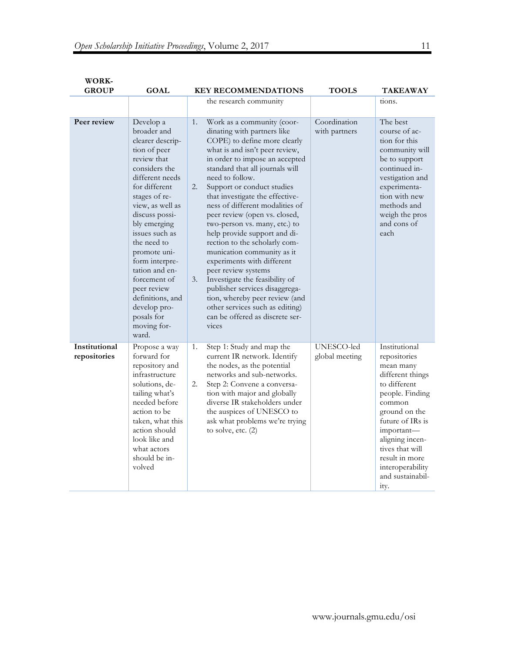| <b>WORK-</b><br><b>GROUP</b>  | <b>GOAL</b>                                                                                                                                                                                                                                                                                                                                                                                           |                | <b>KEY RECOMMENDATIONS</b>                                                                                                                                                                                                                                                                                                                                                                                                                                                                                                                                                                                                                                                                                                         | <b>TOOLS</b>                  | <b>TAKEAWAY</b>                                                                                                                                                                                                                                                        |
|-------------------------------|-------------------------------------------------------------------------------------------------------------------------------------------------------------------------------------------------------------------------------------------------------------------------------------------------------------------------------------------------------------------------------------------------------|----------------|------------------------------------------------------------------------------------------------------------------------------------------------------------------------------------------------------------------------------------------------------------------------------------------------------------------------------------------------------------------------------------------------------------------------------------------------------------------------------------------------------------------------------------------------------------------------------------------------------------------------------------------------------------------------------------------------------------------------------------|-------------------------------|------------------------------------------------------------------------------------------------------------------------------------------------------------------------------------------------------------------------------------------------------------------------|
|                               |                                                                                                                                                                                                                                                                                                                                                                                                       |                | the research community                                                                                                                                                                                                                                                                                                                                                                                                                                                                                                                                                                                                                                                                                                             |                               | tions.                                                                                                                                                                                                                                                                 |
| Peer review                   | Develop a<br>broader and<br>clearer descrip-<br>tion of peer<br>review that<br>considers the<br>different needs<br>for different<br>stages of re-<br>view, as well as<br>discuss possi-<br>bly emerging<br>issues such as<br>the need to<br>promote uni-<br>form interpre-<br>tation and en-<br>forcement of<br>peer review<br>definitions, and<br>develop pro-<br>posals for<br>moving for-<br>ward. | 1.<br>2.<br>3. | Work as a community (coor-<br>dinating with partners like<br>COPE) to define more clearly<br>what is and isn't peer review,<br>in order to impose an accepted<br>standard that all journals will<br>need to follow.<br>Support or conduct studies<br>that investigate the effective-<br>ness of different modalities of<br>peer review (open vs. closed,<br>two-person vs. many, etc.) to<br>help provide support and di-<br>rection to the scholarly com-<br>munication community as it<br>experiments with different<br>peer review systems<br>Investigate the feasibility of<br>publisher services disaggrega-<br>tion, whereby peer review (and<br>other services such as editing)<br>can be offered as discrete ser-<br>vices | Coordination<br>with partners | The best<br>course of ac-<br>tion for this<br>community will<br>be to support<br>continued in-<br>vestigation and<br>experimenta-<br>tion with new<br>methods and<br>weigh the pros<br>and cons of<br>each                                                             |
| Institutional<br>repositories | Propose a way<br>forward for<br>repository and<br>infrastructure<br>solutions, de-<br>tailing what's<br>needed before<br>action to be<br>taken, what this<br>action should<br>look like and<br>what actors<br>should be in-<br>volved                                                                                                                                                                 | 1.<br>2.       | Step 1: Study and map the<br>current IR network. Identify<br>the nodes, as the potential<br>networks and sub-networks.<br>Step 2: Convene a conversa-<br>tion with major and globally<br>diverse IR stakeholders under<br>the auspices of UNESCO to<br>ask what problems we're trying<br>to solve, etc. $(2)$                                                                                                                                                                                                                                                                                                                                                                                                                      | UNESCO-led<br>global meeting  | Institutional<br>repositories<br>mean many<br>different things<br>to different<br>people. Finding<br>common<br>ground on the<br>future of IRs is<br>important-<br>aligning incen-<br>tives that will<br>result in more<br>interoperability<br>and sustainabil-<br>ity. |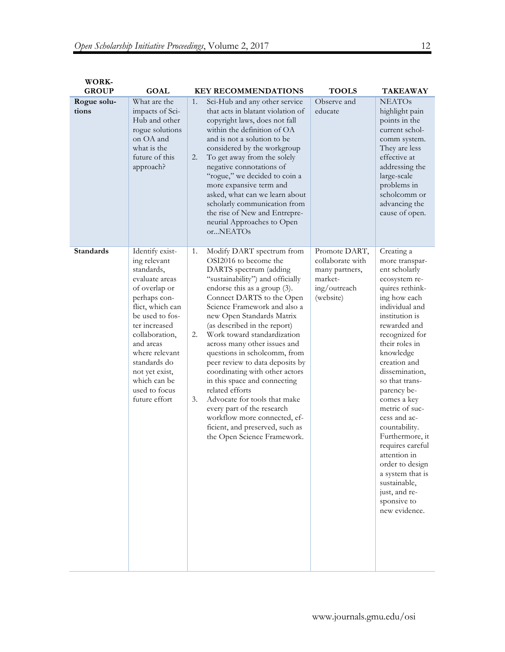| WORK-<br><b>GROUP</b> | <b>GOAL</b>                                                                                                                                                                                                                                                                                   |                | <b>KEY RECOMMENDATIONS</b>                                                                                                                                                                                                                                                                                                                                                                                                                                                                                                                                                                                                                                        | <b>TOOLS</b>                                                                                | TAKEAWAY                                                                                                                                                                                                                                                                                                                                                                                                                                                                                                   |
|-----------------------|-----------------------------------------------------------------------------------------------------------------------------------------------------------------------------------------------------------------------------------------------------------------------------------------------|----------------|-------------------------------------------------------------------------------------------------------------------------------------------------------------------------------------------------------------------------------------------------------------------------------------------------------------------------------------------------------------------------------------------------------------------------------------------------------------------------------------------------------------------------------------------------------------------------------------------------------------------------------------------------------------------|---------------------------------------------------------------------------------------------|------------------------------------------------------------------------------------------------------------------------------------------------------------------------------------------------------------------------------------------------------------------------------------------------------------------------------------------------------------------------------------------------------------------------------------------------------------------------------------------------------------|
| Rogue solu-<br>tions  | What are the<br>impacts of Sci-<br>Hub and other<br>rogue solutions<br>on OA and<br>what is the<br>future of this<br>approach?                                                                                                                                                                | 1.<br>2.       | Sci-Hub and any other service<br>that acts in blatant violation of<br>copyright laws, does not fall<br>within the definition of OA<br>and is not a solution to be<br>considered by the workgroup<br>To get away from the solely<br>negative connotations of<br>"rogue," we decided to coin a<br>more expansive term and<br>asked, what can we learn about<br>scholarly communication from<br>the rise of New and Entrepre-<br>neurial Approaches to Open<br>orNEATOs                                                                                                                                                                                              | Observe and<br>educate                                                                      | <b>NEATOs</b><br>highlight pain<br>points in the<br>current schol-<br>comm system.<br>They are less<br>effective at<br>addressing the<br>large-scale<br>problems in<br>scholcomm or<br>advancing the<br>cause of open.                                                                                                                                                                                                                                                                                     |
| <b>Standards</b>      | Identify exist-<br>ing relevant<br>standards,<br>evaluate areas<br>of overlap or<br>perhaps con-<br>flict, which can<br>be used to fos-<br>ter increased<br>collaboration,<br>and areas<br>where relevant<br>standards do<br>not yet exist,<br>which can be<br>used to focus<br>future effort | 1.<br>2.<br>3. | Modify DART spectrum from<br>OSI2016 to become the<br>DARTS spectrum (adding<br>"sustainability") and officially<br>endorse this as a group (3).<br>Connect DARTS to the Open<br>Science Framework and also a<br>new Open Standards Matrix<br>(as described in the report)<br>Work toward standardization<br>across many other issues and<br>questions in scholcomm, from<br>peer review to data deposits by<br>coordinating with other actors<br>in this space and connecting<br>related efforts<br>Advocate for tools that make<br>every part of the research<br>workflow more connected, ef-<br>ficient, and preserved, such as<br>the Open Science Framework. | Promote DART,<br>collaborate with<br>many partners,<br>market-<br>ing/outreach<br>(website) | Creating a<br>more transpar-<br>ent scholarly<br>ecosystem re-<br>quires rethink-<br>ing how each<br>individual and<br>institution is<br>rewarded and<br>recognized for<br>their roles in<br>knowledge<br>creation and<br>dissemination,<br>so that trans-<br>parency be-<br>comes a key<br>metric of suc-<br>cess and ac-<br>countability.<br>Furthermore, it<br>requires careful<br>attention in<br>order to design<br>a system that is<br>sustainable,<br>just, and re-<br>sponsive to<br>new evidence. |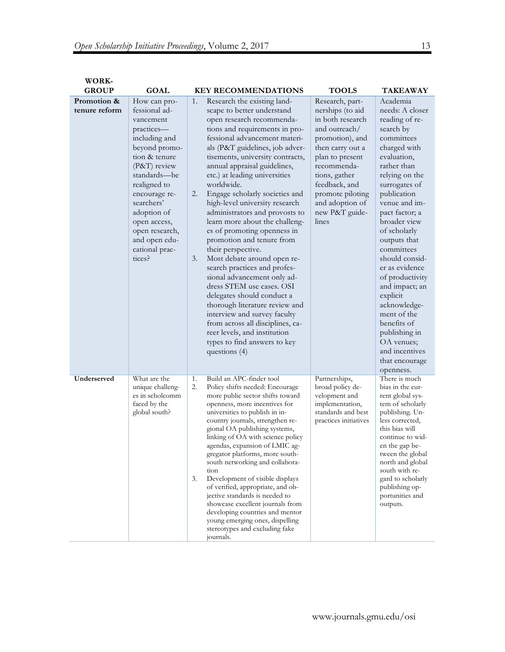| WORK-                        |                                                                                                                                                                                                                                                                                          |                |                                                                                                                                                                                                                                                                                                                                                                                                                                                                                                                                                                                                                                                                                                                                                                                                                                                                                           |                                                                                                                                                                                                                                                       |                                                                                                                                                                                                                                                                                                                                                                                                                                                                                              |
|------------------------------|------------------------------------------------------------------------------------------------------------------------------------------------------------------------------------------------------------------------------------------------------------------------------------------|----------------|-------------------------------------------------------------------------------------------------------------------------------------------------------------------------------------------------------------------------------------------------------------------------------------------------------------------------------------------------------------------------------------------------------------------------------------------------------------------------------------------------------------------------------------------------------------------------------------------------------------------------------------------------------------------------------------------------------------------------------------------------------------------------------------------------------------------------------------------------------------------------------------------|-------------------------------------------------------------------------------------------------------------------------------------------------------------------------------------------------------------------------------------------------------|----------------------------------------------------------------------------------------------------------------------------------------------------------------------------------------------------------------------------------------------------------------------------------------------------------------------------------------------------------------------------------------------------------------------------------------------------------------------------------------------|
| <b>GROUP</b>                 | <b>GOAL</b>                                                                                                                                                                                                                                                                              |                | <b>KEY RECOMMENDATIONS</b>                                                                                                                                                                                                                                                                                                                                                                                                                                                                                                                                                                                                                                                                                                                                                                                                                                                                | <b>TOOLS</b>                                                                                                                                                                                                                                          | TAKEAWAY                                                                                                                                                                                                                                                                                                                                                                                                                                                                                     |
| Promotion &<br>tenure reform | How can pro-<br>fessional ad-<br>vancement<br>practices-<br>including and<br>beyond promo-<br>tion & tenure<br>(P&T) review<br>standards-be<br>realigned to<br>encourage re-<br>searchers'<br>adoption of<br>open access,<br>open research,<br>and open edu-<br>cational prac-<br>tices? | 1.<br>2.<br>3. | Research the existing land-<br>scape to better understand<br>open research recommenda-<br>tions and requirements in pro-<br>fessional advancement materi-<br>als (P&T guidelines, job adver-<br>tisements, university contracts,<br>annual appraisal guidelines,<br>etc.) at leading universities<br>worldwide.<br>Engage scholarly societies and<br>high-level university research<br>administrators and provosts to<br>learn more about the challeng-<br>es of promoting openness in<br>promotion and tenure from<br>their perspective.<br>Most debate around open re-<br>search practices and profes-<br>sional advancement only ad-<br>dress STEM use cases. OSI<br>delegates should conduct a<br>thorough literature review and<br>interview and survey faculty<br>from across all disciplines, ca-<br>reer levels, and institution<br>types to find answers to key<br>questions (4) | Research, part-<br>nerships (to aid<br>in both research<br>and outreach/<br>promotion), and<br>then carry out a<br>plan to present<br>recommenda-<br>tions, gather<br>feedback, and<br>promote piloting<br>and adoption of<br>new P&T guide-<br>lines | Academia<br>needs: A closer<br>reading of re-<br>search by<br>committees<br>charged with<br>evaluation,<br>rather than<br>relying on the<br>surrogates of<br>publication<br>venue and im-<br>pact factor; a<br>broader view<br>of scholarly<br>outputs that<br>committees<br>should consid-<br>er as evidence<br>of productivity<br>and impact; an<br>explicit<br>acknowledge-<br>ment of the<br>benefits of<br>publishing in<br>OA venues;<br>and incentives<br>that encourage<br>openness. |
| Underserved                  | What are the<br>unique challeng-<br>es in scholcomm<br>faced by the<br>global south?                                                                                                                                                                                                     | 1.<br>2.<br>3. | Build an APC-finder tool<br>Policy shifts needed: Encourage<br>more public sector shifts toward<br>openness, more incentives for<br>universities to publish in in-<br>country journals, strengthen re-<br>gional OA publishing systems,<br>linking of OA with science policy<br>agendas, expansion of LMIC ag-<br>gregator platforms, more south-<br>south networking and collabora-<br>tion<br>Development of visible displays<br>of verified, appropriate, and ob-<br>jective standards is needed to<br>showcase excellent journals from<br>developing countries and mentor<br>young emerging ones, dispelling<br>stereotypes and excluding fake<br>journals.                                                                                                                                                                                                                           | Partnerships,<br>broad policy de-<br>velopment and<br>implementation,<br>standards and best<br>practices initiatives                                                                                                                                  | There is much<br>bias in the cur-<br>rent global sys-<br>tem of scholarly<br>publishing. Un-<br>less corrected,<br>this bias will<br>continue to wid-<br>en the gap be-<br>tween the global<br>north and global<br>south with re-<br>gard to scholarly<br>publishing op-<br>portunities and<br>outputs.                                                                                                                                                                                      |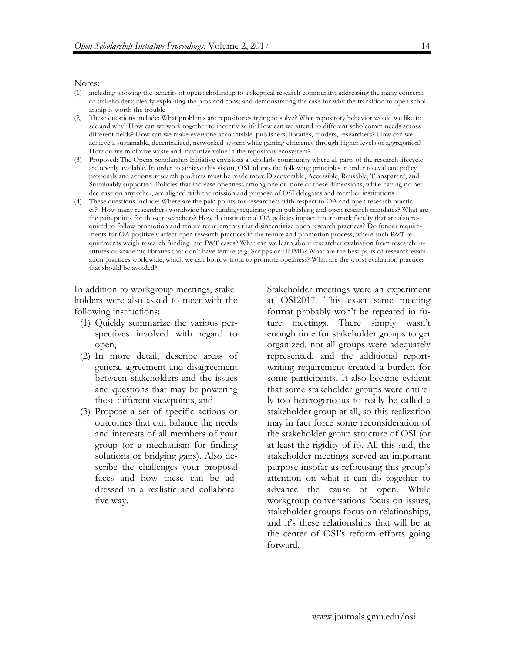#### Notes:

- (1) including showing the benefits of open scholarship to a skeptical research community; addressing the many concerns of stakeholders; clearly explaining the pros and cons; and demonstrating the case for why the transition to open scholarship is worth the trouble
- (2) These questions include: What problems are repositories trying to solve? What repository behavior would we like to see and why? How can we work together to incentivize it? How can we attend to different scholcomm needs across different fields? How can we make everyone accountable: publishers, libraries, funders, researchers? How can we achieve a sustainable, decentralized, networked system while gaining efficiency through higher levels of aggregation? How do we minimize waste and maximize value in the repository ecosystem?
- (3) Proposed: The Opens Scholarship Initiative envisions a scholarly community where all parts of the research lifecycle are openly available. In order to achieve this vision, OSI adopts the following principles in order to evaluate policy proposals and actions: research products must be made more Discoverable, Accessible, Reusable, Transparent, and Sustainably supported. Policies that increase openness among one or more of these dimensions, while having no net decrease on any other, are aligned with the mission and purpose of OSI delegates and member institutions.
- (4) These questions include: Where are the pain points for researchers with respect to OA and open research practices? How many researchers worldwide have funding requiring open publishing and open research mandates? What are the pain points for those researchers? How do institutional OA policies impact tenure-track faculty that are also required to follow promotion and tenure requirements that disincentivize open research practices? Do funder requirements for OA positively affect open research practices in the tenure and promotion process, where such P&T requirements weigh research funding into P&T cases? What can we learn about researcher evaluation from research institutes or academic libraries that don't have tenure (e.g. Scripps or HHMI)? What are the best parts of research evaluation practices worldwide, which we can borrow from to promote openness? What are the worst evaluation practices that should be avoided?

In addition to workgroup meetings, stakeholders were also asked to meet with the following instructions:

- (1) Quickly summarize the various perspectives involved with regard to open,
- (2) In more detail, describe areas of general agreement and disagreement between stakeholders and the issues and questions that may be powering these different viewpoints, and
- (3) Propose a set of specific actions or outcomes that can balance the needs and interests of all members of your group (or a mechanism for finding solutions or bridging gaps). Also describe the challenges your proposal faces and how these can be addressed in a realistic and collaborative way.

Stakeholder meetings were an experiment at OSI2017. This exact same meeting format probably won't be repeated in future meetings. There simply wasn't enough time for stakeholder groups to get organized, not all groups were adequately represented, and the additional reportwriting requirement created a burden for some participants. It also became evident that some stakeholder groups were entirely too heterogeneous to really be called a stakeholder group at all, so this realization may in fact force some reconsideration of the stakeholder group structure of OSI (or at least the rigidity of it). All this said, the stakeholder meetings served an important purpose insofar as refocusing this group's attention on what it can do together to advance the cause of open. While workgroup conversations focus on issues, stakeholder groups focus on relationships, and it's these relationships that will be at the center of OSI's reform efforts going forward.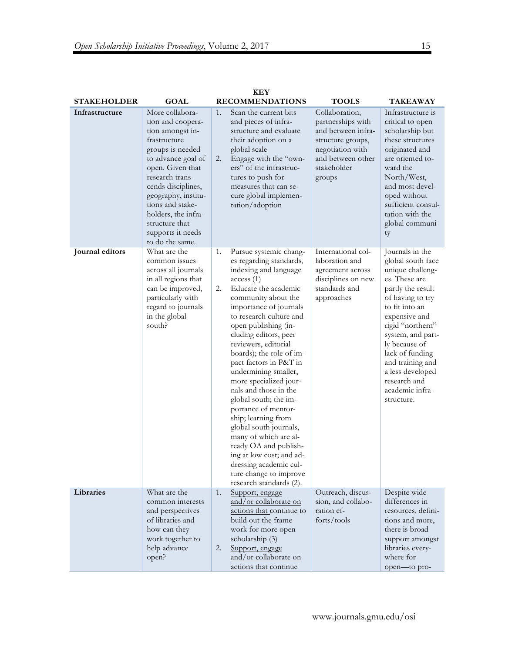|                    | <b>KEY</b>                                                                                                                                                                                                                                                                                                  |          |                                                                                                                                                                                                                                                                                                                                                                                                                                                                                                                                                                                                                                                                     |                                                                                                                                                  |                                                                                                                                                                                                                                                                                                                             |  |  |
|--------------------|-------------------------------------------------------------------------------------------------------------------------------------------------------------------------------------------------------------------------------------------------------------------------------------------------------------|----------|---------------------------------------------------------------------------------------------------------------------------------------------------------------------------------------------------------------------------------------------------------------------------------------------------------------------------------------------------------------------------------------------------------------------------------------------------------------------------------------------------------------------------------------------------------------------------------------------------------------------------------------------------------------------|--------------------------------------------------------------------------------------------------------------------------------------------------|-----------------------------------------------------------------------------------------------------------------------------------------------------------------------------------------------------------------------------------------------------------------------------------------------------------------------------|--|--|
| <b>STAKEHOLDER</b> | <b>GOAL</b>                                                                                                                                                                                                                                                                                                 |          | <b>RECOMMENDATIONS</b>                                                                                                                                                                                                                                                                                                                                                                                                                                                                                                                                                                                                                                              | <b>TOOLS</b>                                                                                                                                     | <b>TAKEAWAY</b>                                                                                                                                                                                                                                                                                                             |  |  |
| Infrastructure     | More collabora-<br>tion and coopera-<br>tion amongst in-<br>frastructure<br>groups is needed<br>to advance goal of<br>open. Given that<br>research trans-<br>cends disciplines,<br>geography, institu-<br>tions and stake-<br>holders, the infra-<br>structure that<br>supports it needs<br>to do the same. | 1.<br>2. | Scan the current bits<br>and pieces of infra-<br>structure and evaluate<br>their adoption on a<br>global scale<br>Engage with the "own-<br>ers" of the infrastruc-<br>tures to push for<br>measures that can se-<br>cure global implemen-<br>tation/adoption                                                                                                                                                                                                                                                                                                                                                                                                        | Collaboration,<br>partnerships with<br>and between infra-<br>structure groups,<br>negotiation with<br>and between other<br>stakeholder<br>groups | Infrastructure is<br>critical to open<br>scholarship but<br>these structures<br>originated and<br>are oriented to-<br>ward the<br>North/West,<br>and most devel-<br>oped without<br>sufficient consul-<br>tation with the<br>global communi-<br>ty                                                                          |  |  |
| Journal editors    | What are the<br>common issues<br>across all journals<br>in all regions that<br>can be improved,<br>particularly with<br>regard to journals<br>in the global<br>south?                                                                                                                                       | 1.<br>2. | Pursue systemic chang-<br>es regarding standards,<br>indexing and language<br>access(1)<br>Educate the academic<br>community about the<br>importance of journals<br>to research culture and<br>open publishing (in-<br>cluding editors, peer<br>reviewers, editorial<br>boards); the role of im-<br>pact factors in P&T in<br>undermining smaller,<br>more specialized jour-<br>nals and those in the<br>global south; the im-<br>portance of mentor-<br>ship; learning from<br>global south journals,<br>many of which are al-<br>ready OA and publish-<br>ing at low cost; and ad-<br>dressing academic cul-<br>ture change to improve<br>research standards (2). | International col-<br>laboration and<br>agreement across<br>disciplines on new<br>standards and<br>approaches                                    | Journals in the<br>global south face<br>unique challeng-<br>es. These are<br>partly the result<br>of having to try<br>to fit into an<br>expensive and<br>rigid "northern"<br>system, and part-<br>ly because of<br>lack of funding<br>and training and<br>a less developed<br>research and<br>academic infra-<br>structure. |  |  |
| Libraries          | What are the<br>common interests<br>and perspectives<br>of libraries and<br>how can they<br>work together to<br>help advance<br>open?                                                                                                                                                                       | 1.<br>2. | Support, engage<br>and/or collaborate on<br>actions that continue to<br>build out the frame-<br>work for more open<br>scholarship (3)<br>Support, engage<br>and/or collaborate on<br>actions that continue                                                                                                                                                                                                                                                                                                                                                                                                                                                          | Outreach, discus-<br>sion, and collabo-<br>ration ef-<br>forts/tools                                                                             | Despite wide<br>differences in<br>resources, defini-<br>tions and more,<br>there is broad<br>support amongst<br>libraries every-<br>where for<br>open-to pro-                                                                                                                                                               |  |  |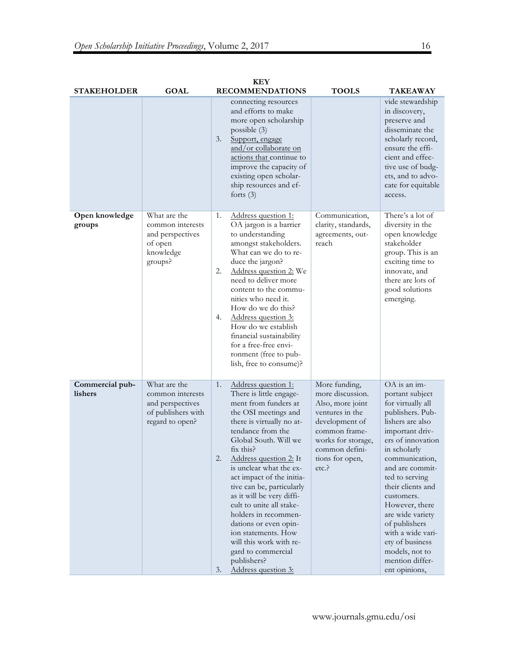| <b>STAKEHOLDER</b>         | <b>GOAL</b>                                                                                   |                | <b>KEY</b><br><b>RECOMMENDATIONS</b>                                                                                                                                                                                                                                                                                                                                                                                                                                                                                          | <b>TOOLS</b>                                                                                                                                                                   | TAKEAWAY                                                                                                                                                                                                                                                                                                                                                                                            |
|----------------------------|-----------------------------------------------------------------------------------------------|----------------|-------------------------------------------------------------------------------------------------------------------------------------------------------------------------------------------------------------------------------------------------------------------------------------------------------------------------------------------------------------------------------------------------------------------------------------------------------------------------------------------------------------------------------|--------------------------------------------------------------------------------------------------------------------------------------------------------------------------------|-----------------------------------------------------------------------------------------------------------------------------------------------------------------------------------------------------------------------------------------------------------------------------------------------------------------------------------------------------------------------------------------------------|
|                            |                                                                                               | 3.             | connecting resources<br>and efforts to make<br>more open scholarship<br>possible $(3)$<br>Support, engage<br>and/or collaborate on<br>actions that continue to<br>improve the capacity of<br>existing open scholar-<br>ship resources and ef-<br>forts $(3)$                                                                                                                                                                                                                                                                  |                                                                                                                                                                                | vide stewardship<br>in discovery,<br>preserve and<br>disseminate the<br>scholarly record,<br>ensure the effi-<br>cient and effec-<br>tive use of budg-<br>ets, and to advo-<br>cate for equitable<br>access.                                                                                                                                                                                        |
| Open knowledge<br>groups   | What are the<br>common interests<br>and perspectives<br>of open<br>knowledge<br>groups?       | 1.<br>2.<br>4. | Address question 1:<br>OA jargon is a barrier<br>to understanding<br>amongst stakeholders.<br>What can we do to re-<br>duce the jargon?<br>Address question 2: We<br>need to deliver more<br>content to the commu-<br>nities who need it.<br>How do we do this?<br>Address question 3:<br>How do we establish<br>financial sustainability<br>for a free-free envi-<br>ronment (free to pub-<br>lish, free to consume)?                                                                                                        | Communication,<br>clarity, standards,<br>agreements, out-<br>reach                                                                                                             | There's a lot of<br>diversity in the<br>open knowledge<br>stakeholder<br>group. This is an<br>exciting time to<br>innovate, and<br>there are lots of<br>good solutions<br>emerging.                                                                                                                                                                                                                 |
| Commercial pub-<br>lishers | What are the<br>common interests<br>and perspectives<br>of publishers with<br>regard to open? | 1.<br>2.<br>3. | Address question 1:<br>There is little engage-<br>ment from funders at<br>the OSI meetings and<br>there is virtually no at-<br>tendance from the<br>Global South. Will we<br>fix this?<br>Address question 2: It<br>is unclear what the ex-<br>act impact of the initia-<br>tive can be, particularly<br>as it will be very diffi-<br>cult to unite all stake-<br>holders in recommen-<br>dations or even opin-<br>ion statements. How<br>will this work with re-<br>gard to commercial<br>publishers?<br>Address question 3: | More funding,<br>more discussion.<br>Also, more joint<br>ventures in the<br>development of<br>common frame-<br>works for storage,<br>common defini-<br>tions for open,<br>etc. | OA is an im-<br>portant subject<br>for virtually all<br>publishers. Pub-<br>lishers are also<br>important driv-<br>ers of innovation<br>in scholarly<br>communication,<br>and are commit-<br>ted to serving<br>their clients and<br>customers.<br>However, there<br>are wide variety<br>of publishers<br>with a wide vari-<br>ety of business<br>models, not to<br>mention differ-<br>ent opinions, |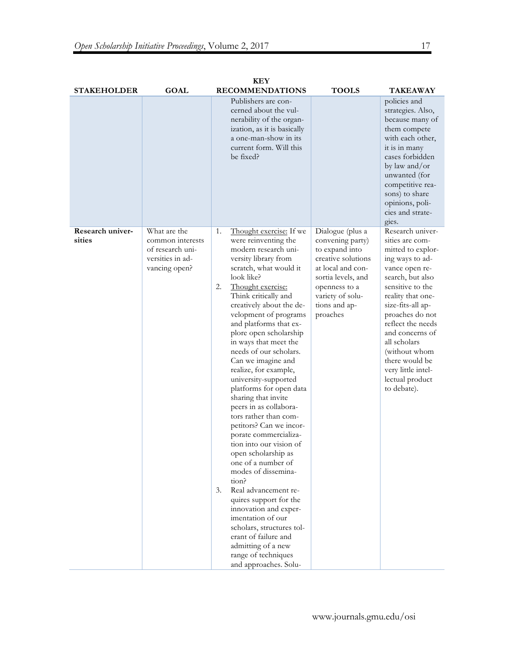|                            |                                                                                           | <b>KEY</b>                                                                                                                                                                                                                                                                                                                                                                                                                                                                                                                                                                                                                                                                                                                                                                                                                                                                                                                            |                                                                                                                                                                                           |                                                                                                                                                                                                                                                                                                                                                       |
|----------------------------|-------------------------------------------------------------------------------------------|---------------------------------------------------------------------------------------------------------------------------------------------------------------------------------------------------------------------------------------------------------------------------------------------------------------------------------------------------------------------------------------------------------------------------------------------------------------------------------------------------------------------------------------------------------------------------------------------------------------------------------------------------------------------------------------------------------------------------------------------------------------------------------------------------------------------------------------------------------------------------------------------------------------------------------------|-------------------------------------------------------------------------------------------------------------------------------------------------------------------------------------------|-------------------------------------------------------------------------------------------------------------------------------------------------------------------------------------------------------------------------------------------------------------------------------------------------------------------------------------------------------|
| <b>STAKEHOLDER</b>         | <b>GOAL</b>                                                                               | <b>RECOMMENDATIONS</b>                                                                                                                                                                                                                                                                                                                                                                                                                                                                                                                                                                                                                                                                                                                                                                                                                                                                                                                | <b>TOOLS</b>                                                                                                                                                                              | TAKEAWAY                                                                                                                                                                                                                                                                                                                                              |
|                            |                                                                                           | Publishers are con-<br>cerned about the vul-<br>nerability of the organ-<br>ization, as it is basically<br>a one-man-show in its<br>current form. Will this<br>be fixed?                                                                                                                                                                                                                                                                                                                                                                                                                                                                                                                                                                                                                                                                                                                                                              |                                                                                                                                                                                           | policies and<br>strategies. Also,<br>because many of<br>them compete<br>with each other,<br>it is in many<br>cases forbidden<br>by law and/or<br>unwanted (for<br>competitive rea-<br>sons) to share<br>opinions, poli-<br>cies and strate-<br>gies.                                                                                                  |
| Research univer-<br>sities | What are the<br>common interests<br>of research uni-<br>versities in ad-<br>vancing open? | Thought exercise: If we<br>1.<br>were reinventing the<br>modern research uni-<br>versity library from<br>scratch, what would it<br>look like?<br>2.<br>Thought exercise:<br>Think critically and<br>creatively about the de-<br>velopment of programs<br>and platforms that ex-<br>plore open scholarship<br>in ways that meet the<br>needs of our scholars.<br>Can we imagine and<br>realize, for example,<br>university-supported<br>platforms for open data<br>sharing that invite<br>peers in as collabora-<br>tors rather than com-<br>petitors? Can we incor-<br>porate commercializa-<br>tion into our vision of<br>open scholarship as<br>one of a number of<br>modes of dissemina-<br>tion?<br>Real advancement re-<br>3.<br>quires support for the<br>innovation and exper-<br>imentation of our<br>scholars, structures tol-<br>erant of failure and<br>admitting of a new<br>range of techniques<br>and approaches. Solu- | Dialogue (plus a<br>convening party)<br>to expand into<br>creative solutions<br>at local and con-<br>sortia levels, and<br>openness to a<br>variety of solu-<br>tions and ap-<br>proaches | Research univer-<br>sities are com-<br>mitted to explor-<br>ing ways to ad-<br>vance open re-<br>search, but also<br>sensitive to the<br>reality that one-<br>size-fits-all ap-<br>proaches do not<br>reflect the needs<br>and concerns of<br>all scholars<br>(without whom<br>there would be<br>very little intel-<br>lectual product<br>to debate). |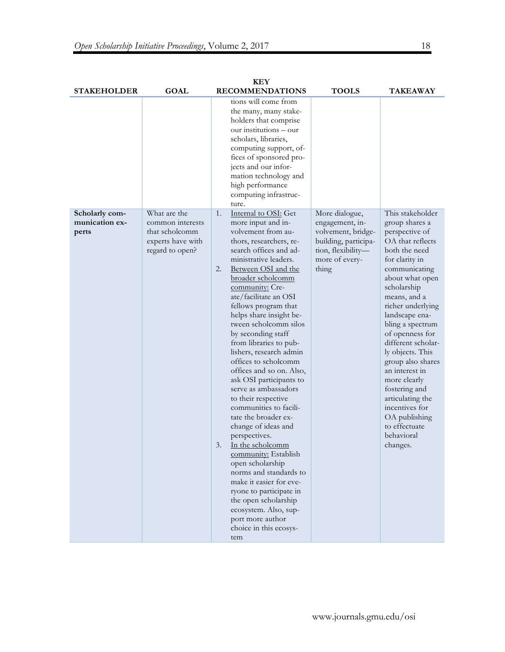|                                  |                                     |    | <b>KEY</b>                                                                                                                                                                                                                                                                           |                                            |                                       |
|----------------------------------|-------------------------------------|----|--------------------------------------------------------------------------------------------------------------------------------------------------------------------------------------------------------------------------------------------------------------------------------------|--------------------------------------------|---------------------------------------|
| <b>STAKEHOLDER</b>               | GOAL                                |    | <b>RECOMMENDATIONS</b>                                                                                                                                                                                                                                                               | <b>TOOLS</b>                               | <b>TAKEAWAY</b>                       |
|                                  |                                     |    | tions will come from<br>the many, many stake-<br>holders that comprise<br>our institutions – our<br>scholars, libraries,<br>computing support, of-<br>fices of sponsored pro-<br>jects and our infor-<br>mation technology and<br>high performance<br>computing infrastruc-<br>ture. |                                            |                                       |
| Scholarly com-<br>munication ex- | What are the<br>common interests    | 1. | Internal to OSI: Get<br>more input and in-                                                                                                                                                                                                                                           | More dialogue,<br>engagement, in-          | This stakeholder<br>group shares a    |
| perts                            | that scholcomm<br>experts have with |    | volvement from au-<br>thors, researchers, re-                                                                                                                                                                                                                                        | volvement, bridge-<br>building, participa- | perspective of<br>OA that reflects    |
|                                  | regard to open?                     |    | search offices and ad-                                                                                                                                                                                                                                                               | tion, flexibility-                         | both the need                         |
|                                  |                                     | 2. | ministrative leaders.<br>Between OSI and the                                                                                                                                                                                                                                         | more of every-<br>thing                    | for clarity in<br>communicating       |
|                                  |                                     |    | broader scholcomm                                                                                                                                                                                                                                                                    |                                            | about what open                       |
|                                  |                                     |    | community: Cre-<br>ate/facilitate an OSI                                                                                                                                                                                                                                             |                                            | scholarship<br>means, and a           |
|                                  |                                     |    | fellows program that                                                                                                                                                                                                                                                                 |                                            | richer underlying                     |
|                                  |                                     |    | helps share insight be-                                                                                                                                                                                                                                                              |                                            | landscape ena-                        |
|                                  |                                     |    | tween scholcomm silos<br>by seconding staff                                                                                                                                                                                                                                          |                                            | bling a spectrum<br>of openness for   |
|                                  |                                     |    | from libraries to pub-                                                                                                                                                                                                                                                               |                                            | different scholar-                    |
|                                  |                                     |    | lishers, research admin<br>offices to scholcomm                                                                                                                                                                                                                                      |                                            | ly objects. This<br>group also shares |
|                                  |                                     |    | offices and so on. Also,                                                                                                                                                                                                                                                             |                                            | an interest in                        |
|                                  |                                     |    | ask OSI participants to<br>serve as ambassadors                                                                                                                                                                                                                                      |                                            | more clearly<br>fostering and         |
|                                  |                                     |    | to their respective                                                                                                                                                                                                                                                                  |                                            | articulating the                      |
|                                  |                                     |    | communities to facili-<br>tate the broader ex-                                                                                                                                                                                                                                       |                                            | incentives for<br>OA publishing       |
|                                  |                                     |    | change of ideas and                                                                                                                                                                                                                                                                  |                                            | to effectuate                         |
|                                  |                                     |    | perspectives.                                                                                                                                                                                                                                                                        |                                            | behavioral                            |
|                                  |                                     | 3. | In the scholcomm<br>community: Establish                                                                                                                                                                                                                                             |                                            | changes.                              |
|                                  |                                     |    | open scholarship                                                                                                                                                                                                                                                                     |                                            |                                       |
|                                  |                                     |    | norms and standards to<br>make it easier for eve-                                                                                                                                                                                                                                    |                                            |                                       |
|                                  |                                     |    | ryone to participate in                                                                                                                                                                                                                                                              |                                            |                                       |
|                                  |                                     |    | the open scholarship<br>ecosystem. Also, sup-                                                                                                                                                                                                                                        |                                            |                                       |
|                                  |                                     |    | port more author                                                                                                                                                                                                                                                                     |                                            |                                       |
|                                  |                                     |    | choice in this ecosys-<br>tem                                                                                                                                                                                                                                                        |                                            |                                       |
|                                  |                                     |    |                                                                                                                                                                                                                                                                                      |                                            |                                       |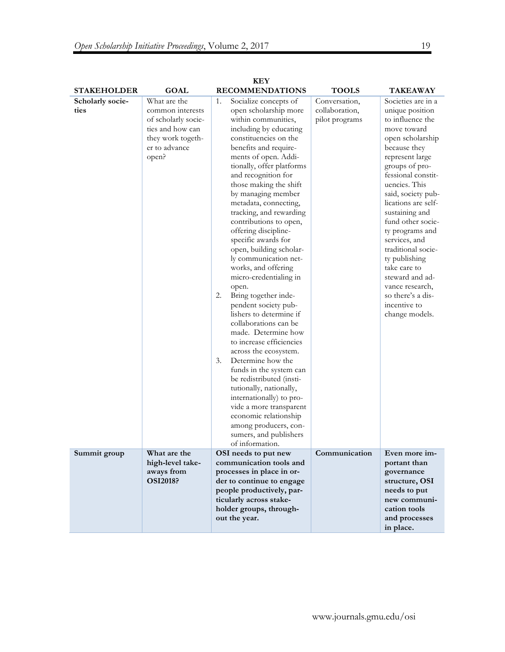| <b>KEY</b>               |                                                                                                                            |                                                                                                                                                                                                                                                                                                                                                                                                                                                                                                                                                                                                                                                                                                                                                                                                                                                                                                                                                                                         |                                                   |                                                                                                                                                                                                                                                                                                                                                                                                                                                                      |  |  |  |
|--------------------------|----------------------------------------------------------------------------------------------------------------------------|-----------------------------------------------------------------------------------------------------------------------------------------------------------------------------------------------------------------------------------------------------------------------------------------------------------------------------------------------------------------------------------------------------------------------------------------------------------------------------------------------------------------------------------------------------------------------------------------------------------------------------------------------------------------------------------------------------------------------------------------------------------------------------------------------------------------------------------------------------------------------------------------------------------------------------------------------------------------------------------------|---------------------------------------------------|----------------------------------------------------------------------------------------------------------------------------------------------------------------------------------------------------------------------------------------------------------------------------------------------------------------------------------------------------------------------------------------------------------------------------------------------------------------------|--|--|--|
| <b>STAKEHOLDER</b>       | <b>GOAL</b>                                                                                                                | <b>RECOMMENDATIONS</b>                                                                                                                                                                                                                                                                                                                                                                                                                                                                                                                                                                                                                                                                                                                                                                                                                                                                                                                                                                  | <b>TOOLS</b>                                      | TAKEAWAY                                                                                                                                                                                                                                                                                                                                                                                                                                                             |  |  |  |
| Scholarly socie-<br>ties | What are the<br>common interests<br>of scholarly socie-<br>ties and how can<br>they work togeth-<br>er to advance<br>open? | Socialize concepts of<br>1.<br>open scholarship more<br>within communities,<br>including by educating<br>constituencies on the<br>benefits and require-<br>ments of open. Addi-<br>tionally, offer platforms<br>and recognition for<br>those making the shift<br>by managing member<br>metadata, connecting,<br>tracking, and rewarding<br>contributions to open,<br>offering discipline-<br>specific awards for<br>open, building scholar-<br>ly communication net-<br>works, and offering<br>micro-credentialing in<br>open.<br>Bring together inde-<br>2.<br>pendent society pub-<br>lishers to determine if<br>collaborations can be<br>made. Determine how<br>to increase efficiencies<br>across the ecosystem.<br>Determine how the<br>3.<br>funds in the system can<br>be redistributed (insti-<br>tutionally, nationally,<br>internationally) to pro-<br>vide a more transparent<br>economic relationship<br>among producers, con-<br>sumers, and publishers<br>of information. | Conversation,<br>collaboration,<br>pilot programs | Societies are in a<br>unique position<br>to influence the<br>move toward<br>open scholarship<br>because they<br>represent large<br>groups of pro-<br>fessional constit-<br>uencies. This<br>said, society pub-<br>lications are self-<br>sustaining and<br>fund other socie-<br>ty programs and<br>services, and<br>traditional socie-<br>ty publishing<br>take care to<br>steward and ad-<br>vance research,<br>so there's a dis-<br>incentive to<br>change models. |  |  |  |
| Summit group             | What are the<br>high-level take-<br>aways from<br><b>OSI2018?</b>                                                          | OSI needs to put new<br>communication tools and<br>processes in place in or-<br>der to continue to engage<br>people productively, par-<br>ticularly across stake-<br>holder groups, through-<br>out the year.                                                                                                                                                                                                                                                                                                                                                                                                                                                                                                                                                                                                                                                                                                                                                                           | Communication                                     | Even more im-<br>portant than<br>governance<br>structure, OSI<br>needs to put<br>new communi-<br>cation tools<br>and processes<br>in place.                                                                                                                                                                                                                                                                                                                          |  |  |  |

19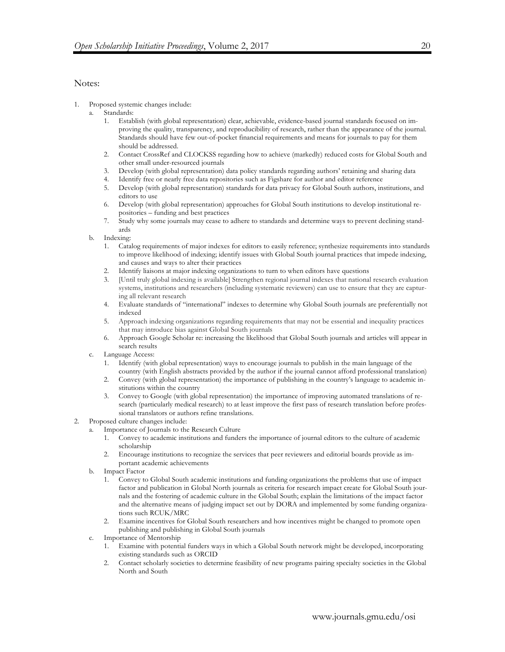### Notes:

- 1. Proposed systemic changes include:
	- a. Standards:
		- 1. Establish (with global representation) clear, achievable, evidence-based journal standards focused on improving the quality, transparency, and reproducibility of research, rather than the appearance of the journal. Standards should have few out-of-pocket financial requirements and means for journals to pay for them should be addressed.
		- 2. Contact CrossRef and CLOCKSS regarding how to achieve (markedly) reduced costs for Global South and other small under-resourced journals
		- 3. Develop (with global representation) data policy standards regarding authors' retaining and sharing data
		- 4. Identify free or nearly free data repositories such as Figshare for author and editor reference
		- 5. Develop (with global representation) standards for data privacy for Global South authors, institutions, and editors to use
		- 6. Develop (with global representation) approaches for Global South institutions to develop institutional repositories – funding and best practices
		- 7. Study why some journals may cease to adhere to standards and determine ways to prevent declining standards
	- b. Indexing:
		- 1. Catalog requirements of major indexes for editors to easily reference; synthesize requirements into standards to improve likelihood of indexing; identify issues with Global South journal practices that impede indexing, and causes and ways to alter their practices
		- 2. Identify liaisons at major indexing organizations to turn to when editors have questions
		- 3. [Until truly global indexing is available] Strengthen regional journal indexes that national research evaluation systems, institutions and researchers (including systematic reviewers) can use to ensure that they are capturing all relevant research
		- 4. Evaluate standards of "international" indexes to determine why Global South journals are preferentially not indexed
		- 5. Approach indexing organizations regarding requirements that may not be essential and inequality practices that may introduce bias against Global South journals
		- 6. Approach Google Scholar re: increasing the likelihood that Global South journals and articles will appear in search results
	- c. Language Access:
		- 1. Identify (with global representation) ways to encourage journals to publish in the main language of the country (with English abstracts provided by the author if the journal cannot afford professional translation)
		- 2. Convey (with global representation) the importance of publishing in the country's language to academic institutions within the country
		- 3. Convey to Google (with global representation) the importance of improving automated translations of research (particularly medical research) to at least improve the first pass of research translation before professional translators or authors refine translations.
- 2. Proposed culture changes include:
	- a. Importance of Journals to the Research Culture
		- 1. Convey to academic institutions and funders the importance of journal editors to the culture of academic scholarship
		- 2. Encourage institutions to recognize the services that peer reviewers and editorial boards provide as important academic achievements
		- b. Impact Factor
			- 1. Convey to Global South academic institutions and funding organizations the problems that use of impact factor and publication in Global North journals as criteria for research impact create for Global South journals and the fostering of academic culture in the Global South; explain the limitations of the impact factor and the alternative means of judging impact set out by DORA and implemented by some funding organizations such RCUK/MRC
			- 2. Examine incentives for Global South researchers and how incentives might be changed to promote open publishing and publishing in Global South journals
		- c. Importance of Mentorship
			- 1. Examine with potential funders ways in which a Global South network might be developed, incorporating existing standards such as ORCID
			- 2. Contact scholarly societies to determine feasibility of new programs pairing specialty societies in the Global North and South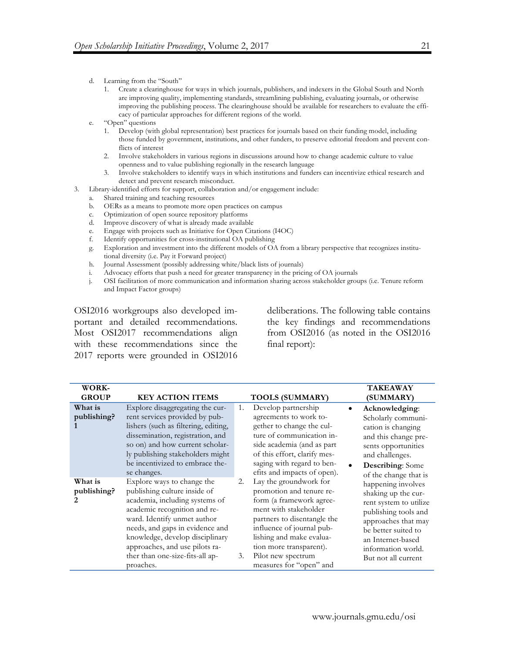- d. Learning from the "South"
	- 1. Create a clearinghouse for ways in which journals, publishers, and indexers in the Global South and North are improving quality, implementing standards, streamlining publishing, evaluating journals, or otherwise improving the publishing process. The clearinghouse should be available for researchers to evaluate the efficacy of particular approaches for different regions of the world.
- e. "Open" questions
	- 1. Develop (with global representation) best practices for journals based on their funding model, including those funded by government, institutions, and other funders, to preserve editorial freedom and prevent conflicts of interest
	- 2. Involve stakeholders in various regions in discussions around how to change academic culture to value openness and to value publishing regionally in the research language
	- 3. Involve stakeholders to identify ways in which institutions and funders can incentivize ethical research and detect and prevent research misconduct.
- 3. Library-identified efforts for support, collaboration and/or engagement include:
	- a. Shared training and teaching resources
	- b. OERs as a means to promote more open practices on campus
	- c. Optimization of open source repository platforms
	- d. Improve discovery of what is already made available
	- e. Engage with projects such as Initiative for Open Citations (I4OC)
	- f. Identify opportunities for cross-institutional OA publishing
	- g. Exploration and investment into the different models of OA from a library perspective that recognizes institutional diversity (i.e. Pay it Forward project)
	- h. Journal Assessment (possibly addressing white/black lists of journals)
	- i. Advocacy efforts that push a need for greater transparency in the pricing of OA journals
	- j. OSI facilitation of more communication and information sharing across stakeholder groups (i.e. Tenure reform and Impact Factor groups)

OSI2016 workgroups also developed important and detailed recommendations. Most OSI2017 recommendations align with these recommendations since the 2017 reports were grounded in OSI2016 deliberations. The following table contains the key findings and recommendations from OSI2016 (as noted in the OSI2016 final report):

| WORK-<br><b>GROUP</b>        | <b>KEY ACTION ITEMS</b>                                                                                                                                                                                                                                                                                             |          | <b>TOOLS (SUMMARY)</b>                                                                                                                                                                                                                                                      |           | <b>TAKEAWAY</b><br>(SUMMARY)                                                                                                                                                                                |
|------------------------------|---------------------------------------------------------------------------------------------------------------------------------------------------------------------------------------------------------------------------------------------------------------------------------------------------------------------|----------|-----------------------------------------------------------------------------------------------------------------------------------------------------------------------------------------------------------------------------------------------------------------------------|-----------|-------------------------------------------------------------------------------------------------------------------------------------------------------------------------------------------------------------|
| What is<br>publishing?       | Explore disaggregating the cur-<br>rent services provided by pub-<br>lishers (such as filtering, editing,<br>dissemination, registration, and<br>so on) and how current scholar-<br>ly publishing stakeholders might<br>be incentivized to embrace the-<br>se changes.                                              | 1.       | Develop partnership<br>agreements to work to-<br>gether to change the cul-<br>ture of communication in-<br>side academia (and as part<br>of this effort, clarify mes-<br>saging with regard to ben-<br>efits and impacts of open).                                          | $\bullet$ | Acknowledging:<br>Scholarly communi-<br>cation is changing<br>and this change pre-<br>sents opportunities<br>and challenges.<br><b>Describing:</b> Some<br>of the change that is                            |
| What is<br>publishing?<br>2. | Explore ways to change the<br>publishing culture inside of<br>academia, including systems of<br>academic recognition and re-<br>ward. Identify unmet author<br>needs, and gaps in evidence and<br>knowledge, develop disciplinary<br>approaches, and use pilots ra-<br>ther than one-size-fits-all ap-<br>proaches. | 2.<br>3. | Lay the groundwork for<br>promotion and tenure re-<br>form (a framework agree-<br>ment with stakeholder<br>partners to disentangle the<br>influence of journal pub-<br>lishing and make evalua-<br>tion more transparent).<br>Pilot new spectrum<br>measures for "open" and |           | happening involves<br>shaking up the cur-<br>rent system to utilize<br>publishing tools and<br>approaches that may<br>be better suited to<br>an Internet-based<br>information world.<br>But not all current |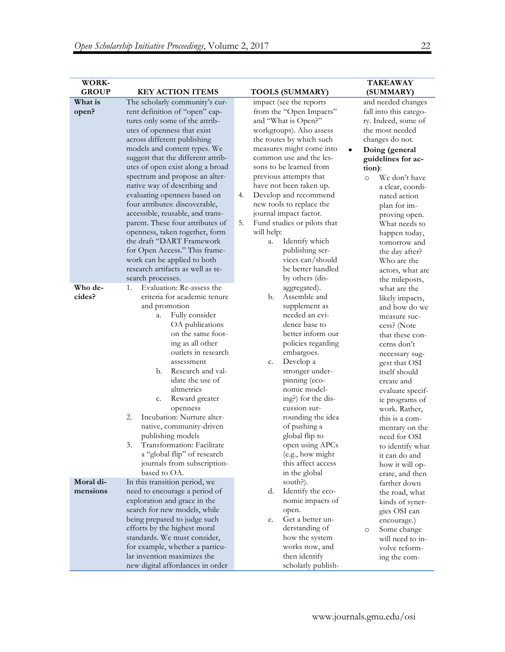| <b>WORK-</b> |                                                             |                                       | <b>TAKEAWAY</b>          |
|--------------|-------------------------------------------------------------|---------------------------------------|--------------------------|
| <b>GROUP</b> | <b>KEY ACTION ITEMS</b>                                     | <b>TOOLS (SUMMARY)</b>                | (SUMMARY)                |
| What is      | The scholarly community's cur-                              | impact (see the reports               | and needed changes       |
| open?        | rent definition of "open" cap-                              | from the "Open Impacts"               | fall into this catego-   |
|              | tures only some of the attrib-                              | and "What is Open?"                   | ry. Indeed, some of      |
|              | utes of openness that exist                                 | workgroups). Also assess              | the most needed          |
|              | across different publishing                                 | the routes by which such              | changes do not.          |
|              | models and content types. We                                | measures might come into<br>$\bullet$ | Doing (general           |
|              | suggest that the different attrib-                          | common use and the les-               | guidelines for ac-       |
|              | utes of open exist along a broad                            | sons to be learned from               | tion):                   |
|              | spectrum and propose an alter-                              | previous attempts that                | We don't have<br>$\circ$ |
|              | native way of describing and                                | have not been taken up.               | a clear, coordi-         |
|              | evaluating openness based on                                | Develop and recommend<br>4.           | nated action             |
|              | four attributes: discoverable,                              | new tools to replace the              |                          |
|              | accessible, reusable, and trans-                            | journal impact factor.                | plan for im-             |
|              | parent. These four attributes of                            | 5.<br>Fund studies or pilots that     | proving open.            |
|              |                                                             | will help:                            | What needs to            |
|              | openness, taken together, form<br>the draft "DART Framework | Identify which                        | happen today,            |
|              |                                                             | a.                                    | tomorrow and             |
|              | for Open Access." This frame-                               | publishing ser-<br>vices can/should   | the day after?           |
|              | work can be applied to both                                 |                                       | Who are the              |
|              | research artifacts as well as re-                           | be better handled                     | actors, what are         |
|              | search processes.                                           | by others (dis-                       | the mileposts,           |
| Who de-      | Evaluation: Re-assess the<br>1.                             | aggregated).                          | what are the             |
| cides?       | criteria for academic tenure                                | Assemble and<br>b.                    | likely impacts,          |
|              | and promotion                                               | supplement as                         | and how do we            |
|              | Fully consider<br>a.                                        | needed an evi-                        | measure suc-             |
|              | OA publications                                             | dence base to                         | cess? (Note              |
|              | on the same foot-                                           | better inform our                     | that these con-          |
|              | ing as all other                                            | policies regarding                    | cerns don't              |
|              | outlets in research                                         | embargoes.                            | necessary sug-           |
|              | assessment                                                  | Develop a<br>c.                       | gest that OSI            |
|              | Research and val-<br>b.                                     | stronger under-                       | itself should            |
|              | idate the use of                                            | pinning (eco-                         | create and               |
|              | altmetrics                                                  | nomic model-                          | evaluate specif-         |
|              | Reward greater<br>c.                                        | ing?) for the dis-                    | ic programs of           |
|              | openness                                                    | cussion sur-                          | work. Rather,            |
|              | 2.<br>Incubation: Nurture alter-                            | rounding the idea                     | this is a com-           |
|              | native, community-driven                                    | of pushing a                          | mentary on the           |
|              | publishing models                                           | global flip to                        | need for OSI             |
|              | Transformation: Facilitate<br>3.                            | open using APCs                       | to identify what         |
|              | a "global flip" of research                                 | (e.g., how might                      | it can do and            |
|              | journals from subscription-                                 | this affect access                    | how it will op-          |
|              | based to OA.                                                | in the global                         | erate, and then          |
| Moral di-    | In this transition period, we                               | south?).                              | farther down             |
| mensions     | need to encourage a period of                               | Identify the eco-<br>d.               | the road, what           |
|              | exploration and grace in the                                | nomic impacts of                      | kinds of syner-          |
|              | search for new models, while                                | open.                                 | gies OSI can             |
|              | being prepared to judge such                                | Get a better un-<br>e.                | encourage.)              |
|              | efforts by the highest moral                                | derstanding of                        | Some change<br>$\circ$   |
|              | standards. We must consider,                                | how the system                        | will need to in-         |
|              | for example, whether a particu-                             | works now, and                        | volve reform-            |
|              | lar invention maximizes the                                 | then identify                         | ing the com-             |
|              | new digital affordances in order                            | scholarly publish-                    |                          |
|              |                                                             |                                       |                          |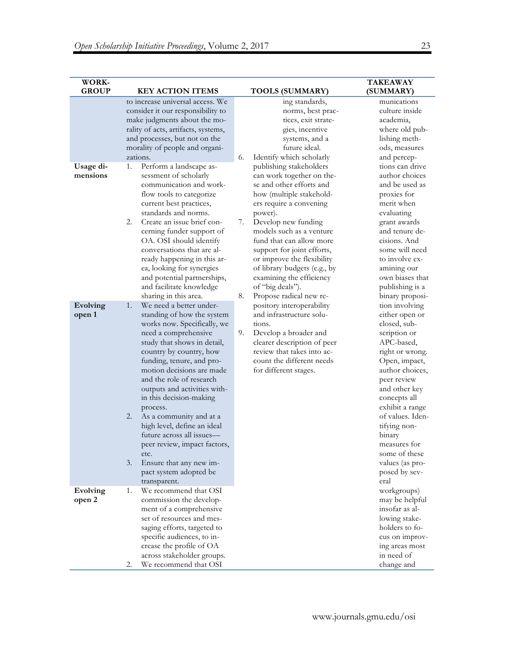| WORK-<br><b>GROUP</b> | <b>KEY ACTION ITEMS</b>                                                                                                                                                                                                                                                                                                                                                                                                                                                                                         | <b>TOOLS (SUMMARY)</b>                                                                                                                                                                                                                                                                                                                                                                                               | <b>TAKEAWAY</b><br>(SUMMARY)                                                                                                                                                                                                                                                                               |
|-----------------------|-----------------------------------------------------------------------------------------------------------------------------------------------------------------------------------------------------------------------------------------------------------------------------------------------------------------------------------------------------------------------------------------------------------------------------------------------------------------------------------------------------------------|----------------------------------------------------------------------------------------------------------------------------------------------------------------------------------------------------------------------------------------------------------------------------------------------------------------------------------------------------------------------------------------------------------------------|------------------------------------------------------------------------------------------------------------------------------------------------------------------------------------------------------------------------------------------------------------------------------------------------------------|
|                       | to increase universal access. We<br>consider it our responsibility to<br>make judgments about the mo-<br>rality of acts, artifacts, systems,<br>and processes, but not on the<br>morality of people and organi-<br>zations.                                                                                                                                                                                                                                                                                     | ing standards,<br>norms, best prac-<br>tices, exit strate-<br>gies, incentive<br>systems, and a<br>future ideal.<br>6.<br>Identify which scholarly                                                                                                                                                                                                                                                                   | munications<br>culture inside<br>academia,<br>where old pub-<br>lishing meth-<br>ods, measures<br>and percep-                                                                                                                                                                                              |
| Usage di-<br>mensions | Perform a landscape as-<br>1.<br>sessment of scholarly<br>communication and work-<br>flow tools to categorize<br>current best practices,<br>standards and norms.<br>Create an issue brief con-<br>2.<br>cerning funder support of<br>OA. OSI should identify<br>conversations that are al-<br>ready happening in this ar-<br>ea, looking for synergies<br>and potential partnerships,<br>and facilitate knowledge<br>sharing in this area.                                                                      | publishing stakeholders<br>can work together on the-<br>se and other efforts and<br>how (multiple stakehold-<br>ers require a convening<br>power).<br>Develop new funding<br>7.<br>models such as a venture<br>fund that can allow more<br>support for joint efforts,<br>or improve the flexibility<br>of library budgets (e.g., by<br>examining the efficiency<br>of "big deals").<br>Propose radical new re-<br>8. | tions can drive<br>author choices<br>and be used as<br>proxies for<br>merit when<br>evaluating<br>grant awards<br>and tenure de-<br>cisions. And<br>some will need<br>to involve ex-<br>amining our<br>own biases that<br>publishing is a<br>binary proposi-                                               |
| Evolving<br>open 1    | We need a better under-<br>1.<br>standing of how the system<br>works now. Specifically, we<br>need a comprehensive<br>study that shows in detail,<br>country by country, how<br>funding, tenure, and pro-<br>motion decisions are made<br>and the role of research<br>outputs and activities with-<br>in this decision-making<br>process.<br>As a community and at a<br>2.<br>high level, define an ideal<br>future across all issues-<br>peer review, impact factors,<br>etc.<br>3.<br>Ensure that any new im- | pository interoperability<br>and infrastructure solu-<br>tions.<br>Develop a broader and<br>9.<br>clearer description of peer<br>review that takes into ac-<br>count the different needs<br>for different stages.                                                                                                                                                                                                    | tion involving<br>either open or<br>closed, sub-<br>scription or<br>APC-based,<br>right or wrong.<br>Open, impact,<br>author choices,<br>peer review<br>and other key<br>concepts all<br>exhibit a range<br>of values. Iden-<br>tifying non-<br>binary<br>measures for<br>some of these<br>values (as pro- |
|                       | pact system adopted be<br>transparent.                                                                                                                                                                                                                                                                                                                                                                                                                                                                          |                                                                                                                                                                                                                                                                                                                                                                                                                      | posed by sev-<br>eral                                                                                                                                                                                                                                                                                      |
| Evolving<br>open 2    | We recommend that OSI<br>1.<br>commission the develop-<br>ment of a comprehensive<br>set of resources and mes-<br>saging efforts, targeted to<br>specific audiences, to in-<br>crease the profile of OA<br>across stakeholder groups.<br>We recommend that OSI<br>2.                                                                                                                                                                                                                                            |                                                                                                                                                                                                                                                                                                                                                                                                                      | workgroups)<br>may be helpful<br>insofar as al-<br>lowing stake-<br>holders to fo-<br>cus on improv-<br>ing areas most<br>in need of<br>change and                                                                                                                                                         |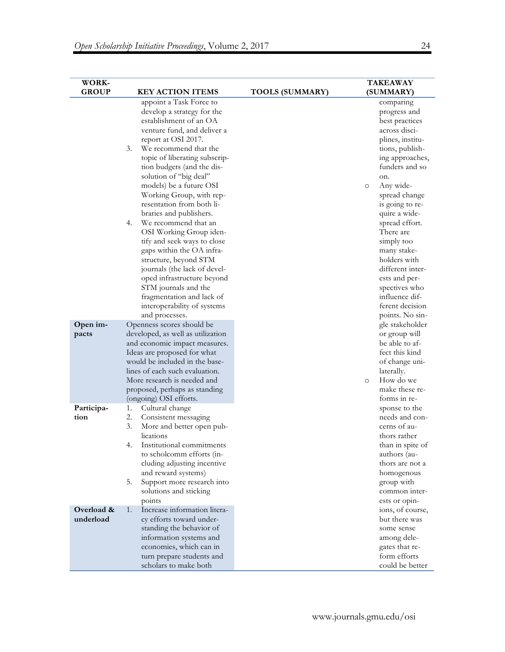| WORK-                   |                                                                                                                                                                                                                                                                                                                                                                                                                                                                                                                                                                                                                                                                                                                             |                        | <b>TAKEAWAY</b>                                                                                                                                                                                                                                                                                                                                                                                                                           |
|-------------------------|-----------------------------------------------------------------------------------------------------------------------------------------------------------------------------------------------------------------------------------------------------------------------------------------------------------------------------------------------------------------------------------------------------------------------------------------------------------------------------------------------------------------------------------------------------------------------------------------------------------------------------------------------------------------------------------------------------------------------------|------------------------|-------------------------------------------------------------------------------------------------------------------------------------------------------------------------------------------------------------------------------------------------------------------------------------------------------------------------------------------------------------------------------------------------------------------------------------------|
| <b>GROUP</b>            | <b>KEY ACTION ITEMS</b>                                                                                                                                                                                                                                                                                                                                                                                                                                                                                                                                                                                                                                                                                                     | <b>TOOLS (SUMMARY)</b> | (SUMMARY)                                                                                                                                                                                                                                                                                                                                                                                                                                 |
| Open im-                | appoint a Task Force to<br>develop a strategy for the<br>establishment of an OA<br>venture fund, and deliver a<br>report at OSI 2017.<br>We recommend that the<br>3.<br>topic of liberating subscrip-<br>tion budgets (and the dis-<br>solution of "big deal"<br>models) be a future OSI<br>Working Group, with rep-<br>resentation from both li-<br>braries and publishers.<br>We recommend that an<br>4.<br>OSI Working Group iden-<br>tify and seek ways to close<br>gaps within the OA infra-<br>structure, beyond STM<br>journals (the lack of devel-<br>oped infrastructure beyond<br>STM journals and the<br>fragmentation and lack of<br>interoperability of systems<br>and processes.<br>Openness scores should be |                        | comparing<br>progress and<br>best practices<br>across disci-<br>plines, institu-<br>tions, publish-<br>ing approaches,<br>funders and so<br>on.<br>Any wide-<br>$\circ$<br>spread change<br>is going to re-<br>quire a wide-<br>spread effort.<br>There are<br>simply too<br>many stake-<br>holders with<br>different inter-<br>ests and per-<br>spectives who<br>influence dif-<br>ferent decision<br>points. No sin-<br>gle stakeholder |
| pacts                   | developed, as well as utilization<br>and economic impact measures.<br>Ideas are proposed for what<br>would be included in the base-<br>lines of each such evaluation.<br>More research is needed and<br>proposed, perhaps as standing<br>(ongoing) OSI efforts.                                                                                                                                                                                                                                                                                                                                                                                                                                                             |                        | or group will<br>be able to af-<br>fect this kind<br>of change uni-<br>laterally.<br>How do we<br>$\Omega$<br>make these re-<br>forms in re-                                                                                                                                                                                                                                                                                              |
| Participa-<br>tion      | Cultural change<br>1.<br>2.<br>Consistent messaging<br>3.<br>More and better open pub-<br>lications<br>Institutional commitments<br>4.<br>to scholcomm efforts (in-<br>cluding adjusting incentive<br>and reward systems)<br>5.<br>Support more research into<br>solutions and sticking<br>points                                                                                                                                                                                                                                                                                                                                                                                                                           |                        | sponse to the<br>needs and con-<br>cerns of au-<br>thors rather<br>than in spite of<br>authors (au-<br>thors are not a<br>homogenous<br>group with<br>common inter-<br>ests or opin-                                                                                                                                                                                                                                                      |
| Overload &<br>underload | 1.<br>Increase information litera-<br>cy efforts toward under-<br>standing the behavior of<br>information systems and<br>economies, which can in<br>turn prepare students and<br>scholars to make both                                                                                                                                                                                                                                                                                                                                                                                                                                                                                                                      |                        | ions, of course,<br>but there was<br>some sense<br>among dele-<br>gates that re-<br>form efforts<br>could be better                                                                                                                                                                                                                                                                                                                       |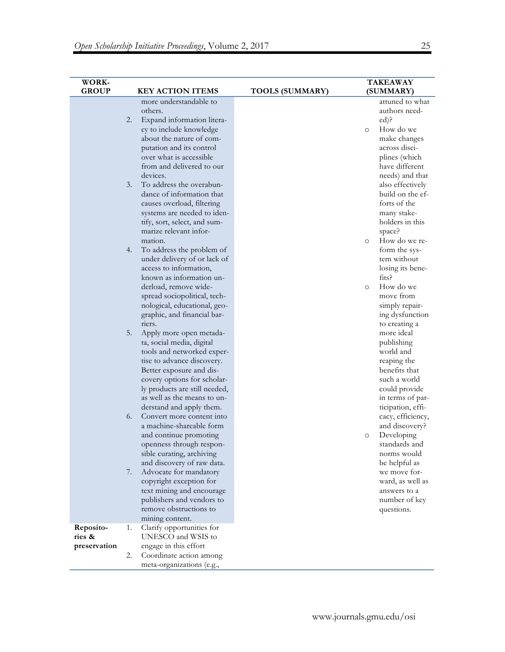| <b>WORK-</b><br><b>GROUP</b> |    | <b>KEY ACTION ITEMS</b>                               | <b>TOOLS (SUMMARY)</b> |          | <b>TAKEAWAY</b><br>(SUMMARY)           |
|------------------------------|----|-------------------------------------------------------|------------------------|----------|----------------------------------------|
|                              |    | more understandable to                                |                        |          | attuned to what                        |
|                              |    | others.                                               |                        |          | authors need-                          |
|                              | 2. | Expand information litera-                            |                        |          | $\text{ed}$ ?                          |
|                              |    | cy to include knowledge                               |                        | $\circ$  | How do we                              |
|                              |    | about the nature of com-                              |                        |          | make changes                           |
|                              |    | putation and its control                              |                        |          | across disci-                          |
|                              |    | over what is accessible                               |                        |          | plines (which                          |
|                              |    | from and delivered to our                             |                        |          | have different                         |
|                              |    | devices.                                              |                        |          | needs) and that                        |
|                              | 3. | To address the overabun-                              |                        |          | also effectively                       |
|                              |    | dance of information that                             |                        |          | build on the ef-                       |
|                              |    | causes overload, filtering                            |                        |          | forts of the                           |
|                              |    | systems are needed to iden-                           |                        |          | many stake-                            |
|                              |    | tify, sort, select, and sum-                          |                        |          | holders in this                        |
|                              |    | marize relevant infor-                                |                        |          | space?                                 |
|                              |    | mation.                                               |                        | $\circ$  | How do we re-                          |
|                              | 4. | To address the problem of                             |                        |          | form the sys-                          |
|                              |    | under delivery of or lack of                          |                        |          | tem without                            |
|                              |    | access to information,                                |                        |          | losing its bene-                       |
|                              |    | known as information un-                              |                        |          | fits?                                  |
|                              |    | derload, remove wide-                                 |                        | $\Omega$ | How do we                              |
|                              |    | spread sociopolitical, tech-                          |                        |          | move from                              |
|                              |    | nological, educational, geo-                          |                        |          | simply repair-                         |
|                              |    | graphic, and financial bar-                           |                        |          | ing dysfunction                        |
|                              |    | riers.                                                |                        |          | to creating a                          |
|                              | 5. | Apply more open metada-                               |                        |          | more ideal                             |
|                              |    | ta, social media, digital                             |                        |          | publishing                             |
|                              |    | tools and networked exper-                            |                        |          | world and                              |
|                              |    | tise to advance discovery.                            |                        |          | reaping the                            |
|                              |    | Better exposure and dis-                              |                        |          | benefits that                          |
|                              |    | covery options for scholar-                           |                        |          | such a world                           |
|                              |    | ly products are still needed,                         |                        |          | could provide                          |
|                              |    | as well as the means to un-                           |                        |          | in terms of par-                       |
|                              | 6. | derstand and apply them.<br>Convert more content into |                        |          | ticipation, effi-<br>cacy, efficiency, |
|                              |    | a machine-shareable form                              |                        |          | and discovery?                         |
|                              |    | and continue promoting                                |                        | $\circ$  | Developing                             |
|                              |    | openness through respon-                              |                        |          | standards and                          |
|                              |    | sible curating, archiving                             |                        |          | norms would                            |
|                              |    | and discovery of raw data.                            |                        |          | be helpful as                          |
|                              | 7. | Advocate for mandatory                                |                        |          | we move for-                           |
|                              |    | copyright exception for                               |                        |          | ward, as well as                       |
|                              |    | text mining and encourage                             |                        |          | answers to a                           |
|                              |    | publishers and vendors to                             |                        |          | number of key                          |
|                              |    | remove obstructions to                                |                        |          | questions.                             |
|                              |    | mining content.                                       |                        |          |                                        |
| Reposito-                    | 1. | Clarify opportunities for                             |                        |          |                                        |
| ries &                       |    | UNESCO and WSIS to                                    |                        |          |                                        |
| preservation                 |    | engage in this effort                                 |                        |          |                                        |
|                              | 2. | Coordinate action among                               |                        |          |                                        |
|                              |    | meta-organizations (e.g.,                             |                        |          |                                        |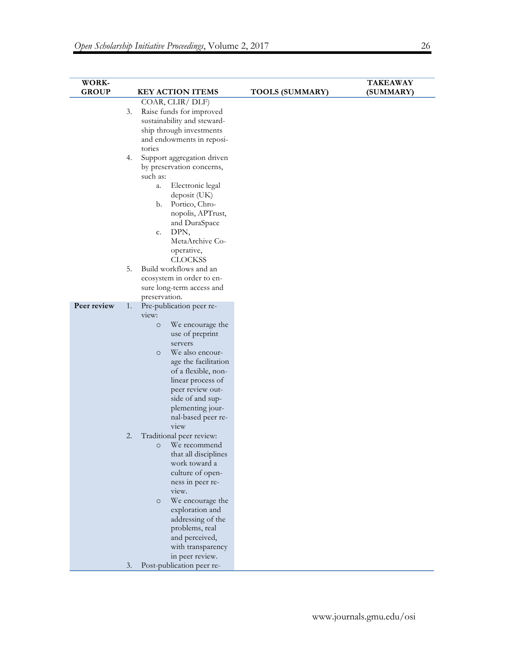| WORK-        |          |                                                                                                                                                                                                                                                                                                                                                                             |                        | <b>TAKEAWAY</b> |
|--------------|----------|-----------------------------------------------------------------------------------------------------------------------------------------------------------------------------------------------------------------------------------------------------------------------------------------------------------------------------------------------------------------------------|------------------------|-----------------|
| <b>GROUP</b> |          | <b>KEY ACTION ITEMS</b>                                                                                                                                                                                                                                                                                                                                                     | <b>TOOLS (SUMMARY)</b> | (SUMMARY)       |
|              | 3.<br>4. | COAR, CLIR/DLF)<br>Raise funds for improved<br>sustainability and steward-<br>ship through investments<br>and endowments in reposi-<br>tories<br>Support aggregation driven<br>by preservation concerns,<br>such as:<br>Electronic legal<br>a.<br>deposit (UK)<br>Portico, Chro-<br>b.<br>nopolis, APTrust,<br>and DuraSpace<br>DPN,<br>c.<br>MetaArchive Co-<br>operative, |                        |                 |
|              | 5.       | <b>CLOCKSS</b><br>Build workflows and an<br>ecosystem in order to en-<br>sure long-term access and<br>preservation.                                                                                                                                                                                                                                                         |                        |                 |
| Peer review  | 1.       | Pre-publication peer re-<br>view:<br>We encourage the<br>$\circ$<br>use of preprint<br>servers<br>We also encour-<br>$\circ$<br>age the facilitation<br>of a flexible, non-<br>linear process of<br>peer review out-<br>side of and sup-<br>plementing jour-<br>nal-based peer re-<br>view                                                                                  |                        |                 |
|              | 2.       | Traditional peer review:<br>We recommend<br>O<br>that all disciplines<br>work toward a<br>culture of open-<br>ness in peer re-<br>view.<br>We encourage the<br>$\circ$<br>exploration and<br>addressing of the<br>problems, real<br>and perceived,<br>with transparency<br>in peer review.                                                                                  |                        |                 |
|              | 3.       | Post-publication peer re-                                                                                                                                                                                                                                                                                                                                                   |                        |                 |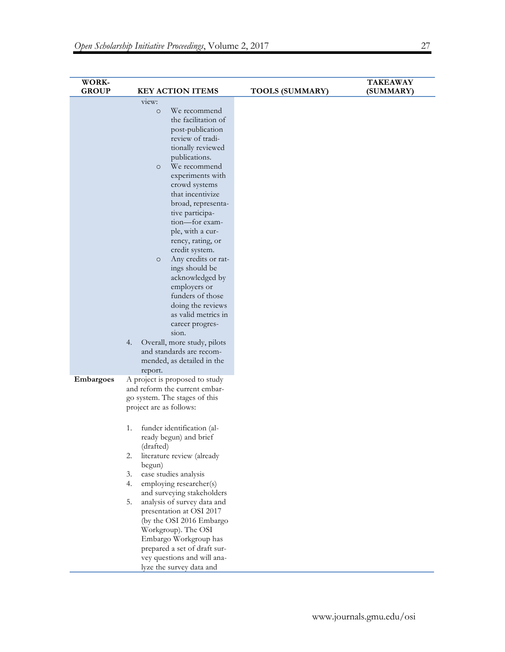| WORK-<br><b>GROUP</b> | <b>KEY ACTION ITEMS</b>                                                                                                                                                                                                                                                                                                                                                                                                                                                                                                                                                                                                                      | <b>TOOLS (SUMMARY)</b> | <b>TAKEAWAY</b><br>(SUMMARY) |
|-----------------------|----------------------------------------------------------------------------------------------------------------------------------------------------------------------------------------------------------------------------------------------------------------------------------------------------------------------------------------------------------------------------------------------------------------------------------------------------------------------------------------------------------------------------------------------------------------------------------------------------------------------------------------------|------------------------|------------------------------|
|                       | view:<br>We recommend<br>$\circ$<br>the facilitation of<br>post-publication<br>review of tradi-<br>tionally reviewed<br>publications.<br>We recommend<br>$\circ$<br>experiments with<br>crowd systems<br>that incentivize<br>broad, representa-<br>tive participa-<br>tion-for exam-<br>ple, with a cur-<br>rency, rating, or<br>credit system.<br>Any credits or rat-<br>$\circ$<br>ings should be<br>acknowledged by<br>employers or<br>funders of those<br>doing the reviews<br>as valid metrics in<br>career progres-<br>sion.<br>4.<br>Overall, more study, pilots<br>and standards are recom-<br>mended, as detailed in the<br>report. |                        |                              |
| Embargoes             | A project is proposed to study<br>and reform the current embar-<br>go system. The stages of this<br>project are as follows:<br>funder identification (al-<br>1.<br>ready begun) and brief<br>(drafted)<br>2.<br>literature review (already<br>begun)<br>case studies analysis<br>3.<br>4.<br>employing researcher(s)<br>and surveying stakeholders<br>analysis of survey data and<br>5.<br>presentation at OSI 2017<br>(by the OSI 2016 Embargo<br>Workgroup). The OSI<br>Embargo Workgroup has<br>prepared a set of draft sur-<br>vey questions and will ana-<br>lyze the survey data and                                                   |                        |                              |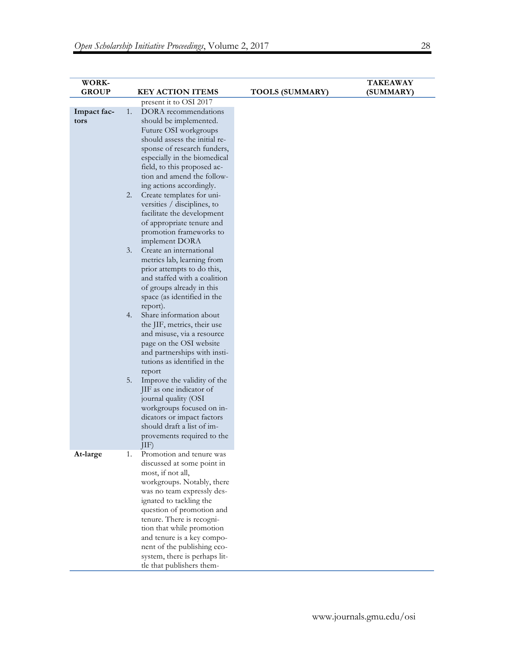| WORK-        |    |                                                            |                        | <b>TAKEAWAY</b> |
|--------------|----|------------------------------------------------------------|------------------------|-----------------|
| <b>GROUP</b> |    | <b>KEY ACTION ITEMS</b>                                    | <b>TOOLS (SUMMARY)</b> | (SUMMARY)       |
|              |    | present it to OSI 2017                                     |                        |                 |
| Impact fac-  | 1. | DORA recommendations                                       |                        |                 |
| tors         |    | should be implemented.                                     |                        |                 |
|              |    | Future OSI workgroups                                      |                        |                 |
|              |    | should assess the initial re-                              |                        |                 |
|              |    | sponse of research funders,                                |                        |                 |
|              |    | especially in the biomedical                               |                        |                 |
|              |    | field, to this proposed ac-                                |                        |                 |
|              |    | tion and amend the follow-                                 |                        |                 |
|              |    | ing actions accordingly.                                   |                        |                 |
|              | 2. | Create templates for uni-                                  |                        |                 |
|              |    | versities / disciplines, to                                |                        |                 |
|              |    | facilitate the development                                 |                        |                 |
|              |    | of appropriate tenure and                                  |                        |                 |
|              |    | promotion frameworks to                                    |                        |                 |
|              |    | implement DORA                                             |                        |                 |
|              | 3. | Create an international                                    |                        |                 |
|              |    | metrics lab, learning from                                 |                        |                 |
|              |    | prior attempts to do this,<br>and staffed with a coalition |                        |                 |
|              |    |                                                            |                        |                 |
|              |    | of groups already in this<br>space (as identified in the   |                        |                 |
|              |    | report).                                                   |                        |                 |
|              | 4. | Share information about                                    |                        |                 |
|              |    | the JIF, metrics, their use                                |                        |                 |
|              |    | and misuse, via a resource                                 |                        |                 |
|              |    | page on the OSI website                                    |                        |                 |
|              |    | and partnerships with insti-                               |                        |                 |
|              |    | tutions as identified in the                               |                        |                 |
|              |    | report                                                     |                        |                 |
|              | 5. | Improve the validity of the                                |                        |                 |
|              |    | JIF as one indicator of                                    |                        |                 |
|              |    | journal quality (OSI                                       |                        |                 |
|              |    | workgroups focused on in-                                  |                        |                 |
|              |    | dicators or impact factors                                 |                        |                 |
|              |    | should draft a list of im-                                 |                        |                 |
|              |    | provements required to the                                 |                        |                 |
|              |    | $ 1F\rangle$                                               |                        |                 |
| At-large     | 1. | Promotion and tenure was                                   |                        |                 |
|              |    | discussed at some point in                                 |                        |                 |
|              |    | most, if not all,                                          |                        |                 |
|              |    | workgroups. Notably, there                                 |                        |                 |
|              |    | was no team expressly des-                                 |                        |                 |
|              |    | ignated to tackling the                                    |                        |                 |
|              |    | question of promotion and                                  |                        |                 |
|              |    | tenure. There is recogni-                                  |                        |                 |
|              |    | tion that while promotion                                  |                        |                 |
|              |    | and tenure is a key compo-<br>nent of the publishing eco-  |                        |                 |
|              |    |                                                            |                        |                 |
|              |    | system, there is perhaps lit-                              |                        |                 |
|              |    | tle that publishers them-                                  |                        |                 |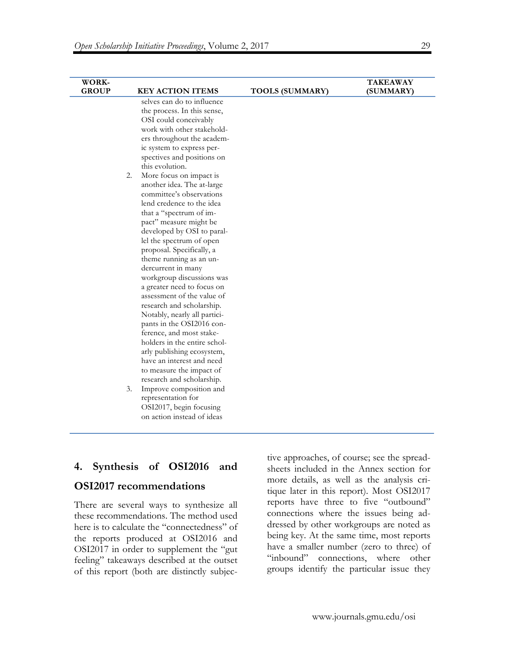| <b>WORK-</b> |                               |                        | <b>TAKEAWAY</b> |
|--------------|-------------------------------|------------------------|-----------------|
| <b>GROUP</b> | <b>KEY ACTION ITEMS</b>       | <b>TOOLS (SUMMARY)</b> | (SUMMARY)       |
|              | selves can do to influence    |                        |                 |
|              | the process. In this sense,   |                        |                 |
|              | OSI could conceivably         |                        |                 |
|              | work with other stakehold-    |                        |                 |
|              | ers throughout the academ-    |                        |                 |
|              | ic system to express per-     |                        |                 |
|              | spectives and positions on    |                        |                 |
|              | this evolution.               |                        |                 |
|              | 2.<br>More focus on impact is |                        |                 |
|              | another idea. The at-large    |                        |                 |
|              | committee's observations      |                        |                 |
|              | lend credence to the idea     |                        |                 |
|              | that a "spectrum of im-       |                        |                 |
|              | pact" measure might be        |                        |                 |
|              | developed by OSI to paral-    |                        |                 |
|              | lel the spectrum of open      |                        |                 |
|              | proposal. Specifically, a     |                        |                 |
|              | theme running as an un-       |                        |                 |
|              | dercurrent in many            |                        |                 |
|              | workgroup discussions was     |                        |                 |
|              | a greater need to focus on    |                        |                 |
|              | assessment of the value of    |                        |                 |
|              | research and scholarship.     |                        |                 |
|              | Notably, nearly all partici-  |                        |                 |
|              | pants in the OSI2016 con-     |                        |                 |
|              | ference, and most stake-      |                        |                 |
|              | holders in the entire schol-  |                        |                 |
|              | arly publishing ecosystem,    |                        |                 |
|              | have an interest and need     |                        |                 |
|              | to measure the impact of      |                        |                 |
|              | research and scholarship.     |                        |                 |
|              | 3.<br>Improve composition and |                        |                 |
|              | representation for            |                        |                 |
|              | OSI2017, begin focusing       |                        |                 |
|              | on action instead of ideas    |                        |                 |
|              |                               |                        |                 |

## **4. Synthesis of OSI2016 and**

## **OSI2017 recommendations**

There are several ways to synthesize all these recommendations. The method used here is to calculate the "connectedness" of the reports produced at OSI2016 and OSI2017 in order to supplement the "gut feeling" takeaways described at the outset of this report (both are distinctly subjective approaches, of course; see the spreadsheets included in the Annex section for more details, as well as the analysis critique later in this report). Most OSI2017 reports have three to five "outbound" connections where the issues being addressed by other workgroups are noted as being key. At the same time, most reports have a smaller number (zero to three) of "inbound" connections, where other groups identify the particular issue they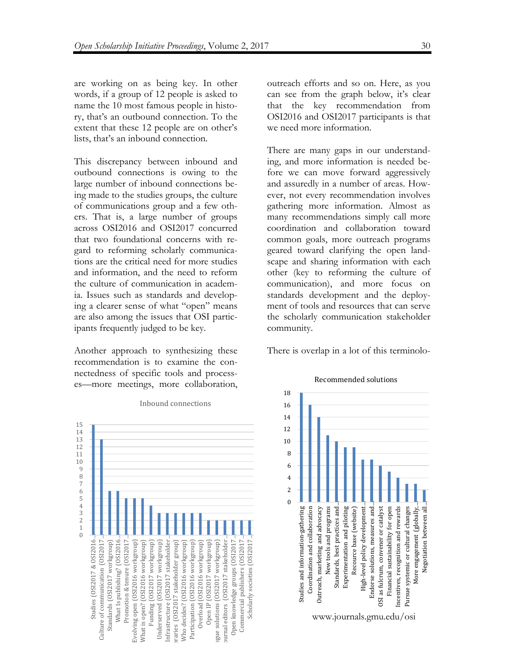are working on as being key. In other words, if a group of 12 people is asked to name the 10 most famous people in history, that's an outbound connection. To the extent that these 12 people are on other's lists, that's an inbound connection.

This discrepancy between inbound and outbound connections is owing to the large number of inbound connections being made to the studies groups, the culture of communications group and a few others. That is, a large number of groups across OSI2016 and OSI2017 concurred that two foundational concerns with regard to reforming scholarly communications are the critical need for more studies and information, and the need to reform the culture of communication in academia. Issues such as standards and developing a clearer sense of what "open" means are also among the issues that OSI participants frequently judged to be key.

Another approach to synthesizing these recommendation is to examine the connectedness of specific tools and processes—more meetings, more collaboration, outreach efforts and so on. Here, as you can see from the graph below, it's clear that the key recommendation from OSI2016 and OSI2017 participants is that we need more information.

There are many gaps in our understanding, and more information is needed before we can move forward aggressively and assuredly in a number of areas. However, not every recommendation involves gathering more information. Almost as many recommendations simply call more coordination and collaboration toward common goals, more outreach programs geared toward clarifying the open landscape and sharing information with each other (key to reforming the culture of communication), and more focus on standards development and the deployment of tools and resources that can serve the scholarly communication stakeholder community.

There is overlap in a lot of this terminolo-



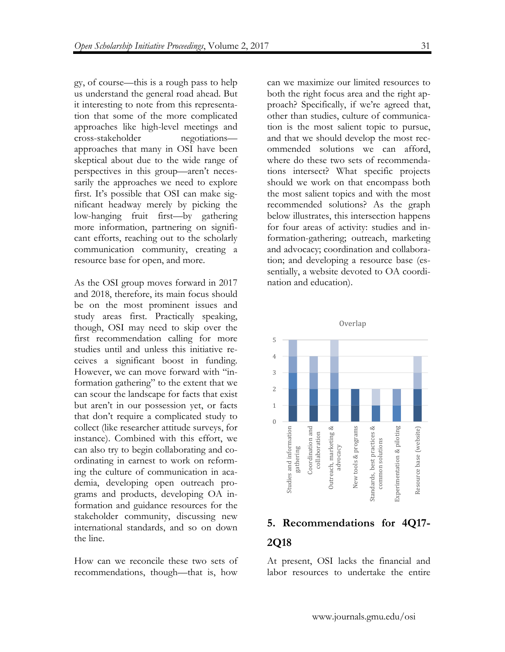gy, of course—this is a rough pass to help us understand the general road ahead. But it interesting to note from this representation that some of the more complicated approaches like high-level meetings and cross-stakeholder negotiations approaches that many in OSI have been skeptical about due to the wide range of perspectives in this group—aren't necessarily the approaches we need to explore first. It's possible that OSI can make significant headway merely by picking the low-hanging fruit first—by gathering more information, partnering on significant efforts, reaching out to the scholarly communication community, creating a resource base for open, and more.

As the OSI group moves forward in 2017 and 2018, therefore, its main focus should be on the most prominent issues and study areas first. Practically speaking, though, OSI may need to skip over the first recommendation calling for more studies until and unless this initiative receives a significant boost in funding. However, we can move forward with "information gathering" to the extent that we can scour the landscape for facts that exist but aren't in our possession yet, or facts that don't require a complicated study to collect (like researcher attitude surveys, for instance). Combined with this effort, we can also try to begin collaborating and coordinating in earnest to work on reforming the culture of communication in academia, developing open outreach programs and products, developing OA information and guidance resources for the stakeholder community, discussing new international standards, and so on down the line.

How can we reconcile these two sets of recommendations, though—that is, how can we maximize our limited resources to both the right focus area and the right approach? Specifically, if we're agreed that, other than studies, culture of communication is the most salient topic to pursue, and that we should develop the most recommended solutions we can afford, where do these two sets of recommendations intersect? What specific projects should we work on that encompass both the most salient topics and with the most recommended solutions? As the graph below illustrates, this intersection happens for four areas of activity: studies and information-gathering; outreach, marketing and advocacy; coordination and collaboration; and developing a resource base (essentially, a website devoted to OA coordination and education).



# **5. Recommendations for 4Q17- 2Q18**

At present, OSI lacks the financial and labor resources to undertake the entire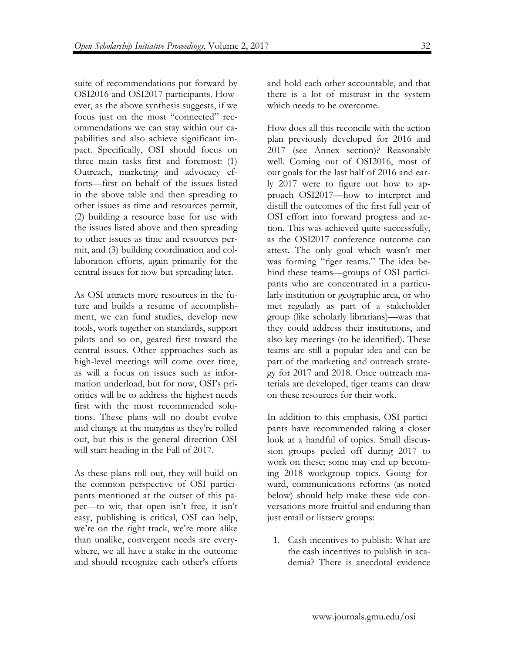suite of recommendations put forward by OSI2016 and OSI2017 participants. However, as the above synthesis suggests, if we focus just on the most "connected" recommendations we can stay within our capabilities and also achieve significant impact. Specifically, OSI should focus on three main tasks first and foremost: (1) Outreach, marketing and advocacy efforts—first on behalf of the issues listed in the above table and then spreading to other issues as time and resources permit, (2) building a resource base for use with the issues listed above and then spreading to other issues as time and resources permit, and (3) building coordination and collaboration efforts, again primarily for the central issues for now but spreading later.

As OSI attracts more resources in the future and builds a resume of accomplishment, we can fund studies, develop new tools, work together on standards, support pilots and so on, geared first toward the central issues. Other approaches such as high-level meetings will come over time, as will a focus on issues such as information underload, but for now, OSI's priorities will be to address the highest needs first with the most recommended solutions. These plans will no doubt evolve and change at the margins as they're rolled out, but this is the general direction OSI will start heading in the Fall of 2017.

As these plans roll out, they will build on the common perspective of OSI participants mentioned at the outset of this paper—to wit, that open isn't free, it isn't easy, publishing is critical, OSI can help, we're on the right track, we're more alike than unalike, convergent needs are everywhere, we all have a stake in the outcome and should recognize each other's efforts and hold each other accountable, and that there is a lot of mistrust in the system which needs to be overcome.

How does all this reconcile with the action plan previously developed for 2016 and 2017 (see Annex section)? Reasonably well. Coming out of OSI2016, most of our goals for the last half of 2016 and early 2017 were to figure out how to approach OSI2017—how to interpret and distill the outcomes of the first full year of OSI effort into forward progress and action. This was achieved quite successfully, as the OSI2017 conference outcome can attest. The only goal which wasn't met was forming "tiger teams." The idea behind these teams—groups of OSI participants who are concentrated in a particularly institution or geographic area, or who met regularly as part of a stakeholder group (like scholarly librarians)—was that they could address their institutions, and also key meetings (to be identified). These teams are still a popular idea and can be part of the marketing and outreach strategy for 2017 and 2018. Once outreach materials are developed, tiger teams can draw on these resources for their work.

In addition to this emphasis, OSI participants have recommended taking a closer look at a handful of topics. Small discussion groups peeled off during 2017 to work on these; some may end up becoming 2018 workgroup topics. Going forward, communications reforms (as noted below) should help make these side conversations more fruitful and enduring than just email or listserv groups:

1. Cash incentives to publish: What are the cash incentives to publish in academia? There is anecdotal evidence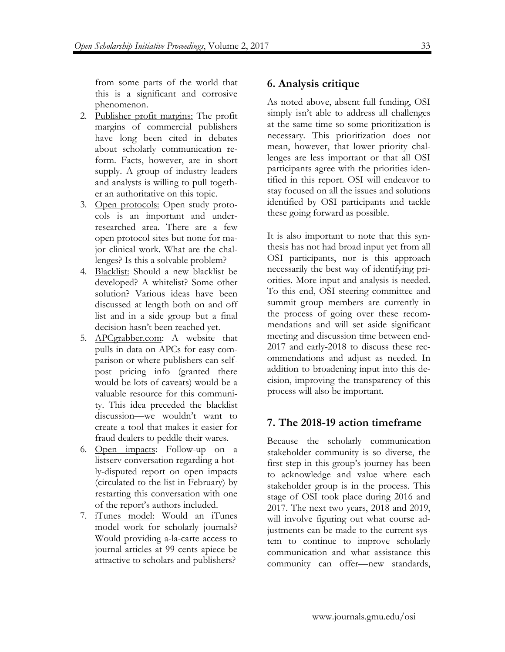from some parts of the world that this is a significant and corrosive phenomenon.

- 2. Publisher profit margins: The profit margins of commercial publishers have long been cited in debates about scholarly communication reform. Facts, however, are in short supply. A group of industry leaders and analysts is willing to pull together an authoritative on this topic.
- 3. Open protocols: Open study protocols is an important and underresearched area. There are a few open protocol sites but none for major clinical work. What are the challenges? Is this a solvable problem?
- 4. Blacklist: Should a new blacklist be developed? A whitelist? Some other solution? Various ideas have been discussed at length both on and off list and in a side group but a final decision hasn't been reached yet.
- 5. APCgrabber.com: A website that pulls in data on APCs for easy comparison or where publishers can selfpost pricing info (granted there would be lots of caveats) would be a valuable resource for this community. This idea preceded the blacklist discussion—we wouldn't want to create a tool that makes it easier for fraud dealers to peddle their wares.
- 6. Open impacts: Follow-up on a listserv conversation regarding a hotly-disputed report on open impacts (circulated to the list in February) by restarting this conversation with one of the report's authors included.
- 7. iTunes model: Would an iTunes model work for scholarly journals? Would providing a-la-carte access to journal articles at 99 cents apiece be attractive to scholars and publishers?

# **6. Analysis critique**

As noted above, absent full funding, OSI simply isn't able to address all challenges at the same time so some prioritization is necessary. This prioritization does not mean, however, that lower priority challenges are less important or that all OSI participants agree with the priorities identified in this report. OSI will endeavor to stay focused on all the issues and solutions identified by OSI participants and tackle these going forward as possible.

It is also important to note that this synthesis has not had broad input yet from all OSI participants, nor is this approach necessarily the best way of identifying priorities. More input and analysis is needed. To this end, OSI steering committee and summit group members are currently in the process of going over these recommendations and will set aside significant meeting and discussion time between end-2017 and early-2018 to discuss these recommendations and adjust as needed. In addition to broadening input into this decision, improving the transparency of this process will also be important.

# **7. The 2018-19 action timeframe**

Because the scholarly communication stakeholder community is so diverse, the first step in this group's journey has been to acknowledge and value where each stakeholder group is in the process. This stage of OSI took place during 2016 and 2017. The next two years, 2018 and 2019, will involve figuring out what course adjustments can be made to the current system to continue to improve scholarly communication and what assistance this community can offer—new standards,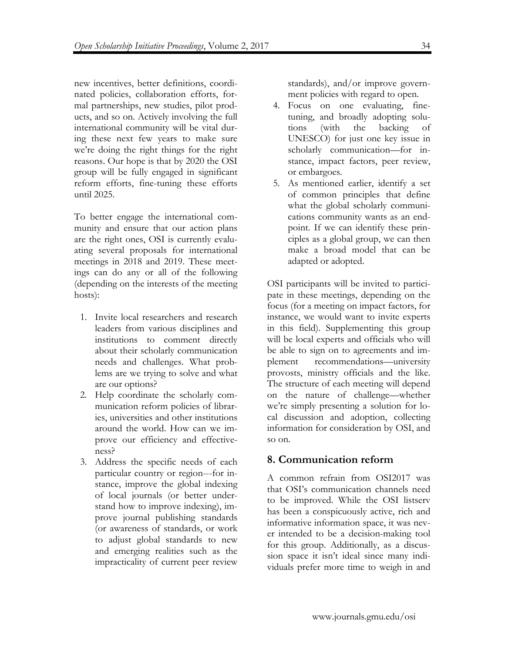new incentives, better definitions, coordinated policies, collaboration efforts, formal partnerships, new studies, pilot products, and so on. Actively involving the full international community will be vital during these next few years to make sure we're doing the right things for the right reasons. Our hope is that by 2020 the OSI group will be fully engaged in significant reform efforts, fine-tuning these efforts until 2025.

To better engage the international community and ensure that our action plans are the right ones, OSI is currently evaluating several proposals for international meetings in 2018 and 2019. These meetings can do any or all of the following (depending on the interests of the meeting hosts):

- 1. Invite local researchers and research leaders from various disciplines and institutions to comment directly about their scholarly communication needs and challenges. What problems are we trying to solve and what are our options?
- 2. Help coordinate the scholarly communication reform policies of libraries, universities and other institutions around the world. How can we improve our efficiency and effectiveness?
- 3. Address the specific needs of each particular country or region---for instance, improve the global indexing of local journals (or better understand how to improve indexing), improve journal publishing standards (or awareness of standards, or work to adjust global standards to new and emerging realities such as the impracticality of current peer review

standards), and/or improve government policies with regard to open.

- 4. Focus on one evaluating, finetuning, and broadly adopting solutions (with the backing of UNESCO) for just one key issue in scholarly communication—for instance, impact factors, peer review, or embargoes.
- 5. As mentioned earlier, identify a set of common principles that define what the global scholarly communications community wants as an endpoint. If we can identify these principles as a global group, we can then make a broad model that can be adapted or adopted.

OSI participants will be invited to participate in these meetings, depending on the focus (for a meeting on impact factors, for instance, we would want to invite experts in this field). Supplementing this group will be local experts and officials who will be able to sign on to agreements and implement recommendations—university provosts, ministry officials and the like. The structure of each meeting will depend on the nature of challenge—whether we're simply presenting a solution for local discussion and adoption, collecting information for consideration by OSI, and so on.

# **8. Communication reform**

A common refrain from OSI2017 was that OSI's communication channels need to be improved. While the OSI listserv has been a conspicuously active, rich and informative information space, it was never intended to be a decision-making tool for this group. Additionally, as a discussion space it isn't ideal since many individuals prefer more time to weigh in and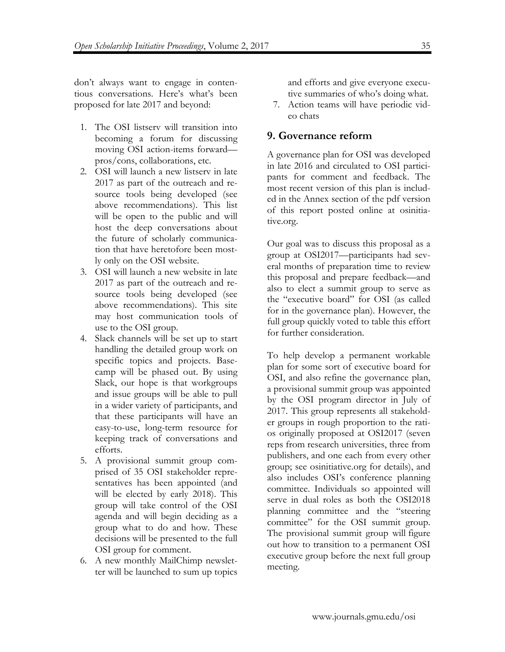don't always want to engage in contentious conversations. Here's what's been proposed for late 2017 and beyond:

- 1. The OSI listserv will transition into becoming a forum for discussing moving OSI action-items forward pros/cons, collaborations, etc.
- 2. OSI will launch a new listserv in late 2017 as part of the outreach and resource tools being developed (see above recommendations). This list will be open to the public and will host the deep conversations about the future of scholarly communication that have heretofore been mostly only on the OSI website.
- 3. OSI will launch a new website in late 2017 as part of the outreach and resource tools being developed (see above recommendations). This site may host communication tools of use to the OSI group.
- 4. Slack channels will be set up to start handling the detailed group work on specific topics and projects. Basecamp will be phased out. By using Slack, our hope is that workgroups and issue groups will be able to pull in a wider variety of participants, and that these participants will have an easy-to-use, long-term resource for keeping track of conversations and efforts.
- 5. A provisional summit group comprised of 35 OSI stakeholder representatives has been appointed (and will be elected by early 2018). This group will take control of the OSI agenda and will begin deciding as a group what to do and how. These decisions will be presented to the full OSI group for comment.
- 6. A new monthly MailChimp newsletter will be launched to sum up topics

and efforts and give everyone executive summaries of who's doing what.

7. Action teams will have periodic video chats

# **9. Governance reform**

A governance plan for OSI was developed in late 2016 and circulated to OSI participants for comment and feedback. The most recent version of this plan is included in the Annex section of the pdf version of this report posted online at osinitiative.org.

Our goal was to discuss this proposal as a group at OSI2017—participants had several months of preparation time to review this proposal and prepare feedback—and also to elect a summit group to serve as the "executive board" for OSI (as called for in the governance plan). However, the full group quickly voted to table this effort for further consideration.

To help develop a permanent workable plan for some sort of executive board for OSI, and also refine the governance plan, a provisional summit group was appointed by the OSI program director in July of 2017. This group represents all stakeholder groups in rough proportion to the ratios originally proposed at OSI2017 (seven reps from research universities, three from publishers, and one each from every other group; see osinitiative.org for details), and also includes OSI's conference planning committee. Individuals so appointed will serve in dual roles as both the OSI2018 planning committee and the "steering committee" for the OSI summit group. The provisional summit group will figure out how to transition to a permanent OSI executive group before the next full group meeting.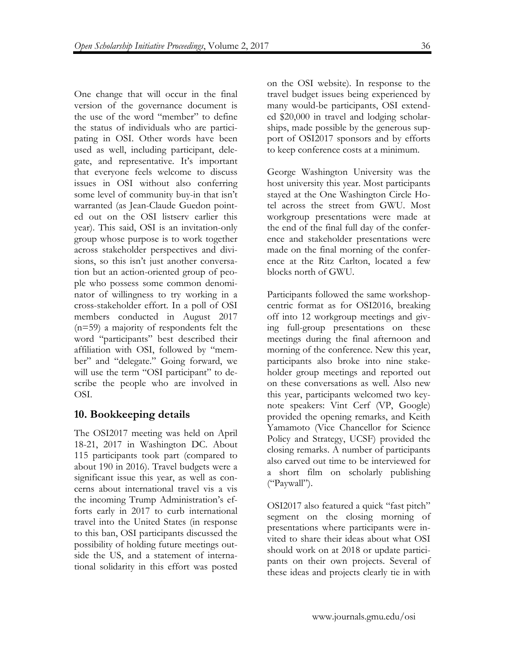One change that will occur in the final version of the governance document is the use of the word "member" to define the status of individuals who are participating in OSI. Other words have been used as well, including participant, delegate, and representative. It's important that everyone feels welcome to discuss issues in OSI without also conferring some level of community buy-in that isn't warranted (as Jean-Claude Guedon pointed out on the OSI listserv earlier this year). This said, OSI is an invitation-only group whose purpose is to work together across stakeholder perspectives and divisions, so this isn't just another conversation but an action-oriented group of people who possess some common denominator of willingness to try working in a cross-stakeholder effort. In a poll of OSI members conducted in August 2017 (n=59) a majority of respondents felt the word "participants" best described their affiliation with OSI, followed by "member" and "delegate." Going forward, we will use the term "OSI participant" to describe the people who are involved in OSI.

# **10. Bookkeeping details**

The OSI2017 meeting was held on April 18-21, 2017 in Washington DC. About 115 participants took part (compared to about 190 in 2016). Travel budgets were a significant issue this year, as well as concerns about international travel vis a vis the incoming Trump Administration's efforts early in 2017 to curb international travel into the United States (in response to this ban, OSI participants discussed the possibility of holding future meetings outside the US, and a statement of international solidarity in this effort was posted on the OSI website). In response to the travel budget issues being experienced by many would-be participants, OSI extended \$20,000 in travel and lodging scholarships, made possible by the generous support of OSI2017 sponsors and by efforts to keep conference costs at a minimum.

George Washington University was the host university this year. Most participants stayed at the One Washington Circle Hotel across the street from GWU. Most workgroup presentations were made at the end of the final full day of the conference and stakeholder presentations were made on the final morning of the conference at the Ritz Carlton, located a few blocks north of GWU.

Participants followed the same workshopcentric format as for OSI2016, breaking off into 12 workgroup meetings and giving full-group presentations on these meetings during the final afternoon and morning of the conference. New this year, participants also broke into nine stakeholder group meetings and reported out on these conversations as well. Also new this year, participants welcomed two keynote speakers: Vint Cerf (VP, Google) provided the opening remarks, and Keith Yamamoto (Vice Chancellor for Science Policy and Strategy, UCSF) provided the closing remarks. A number of participants also carved out time to be interviewed for a short film on scholarly publishing ("Paywall").

OSI2017 also featured a quick "fast pitch" segment on the closing morning of presentations where participants were invited to share their ideas about what OSI should work on at 2018 or update participants on their own projects. Several of these ideas and projects clearly tie in with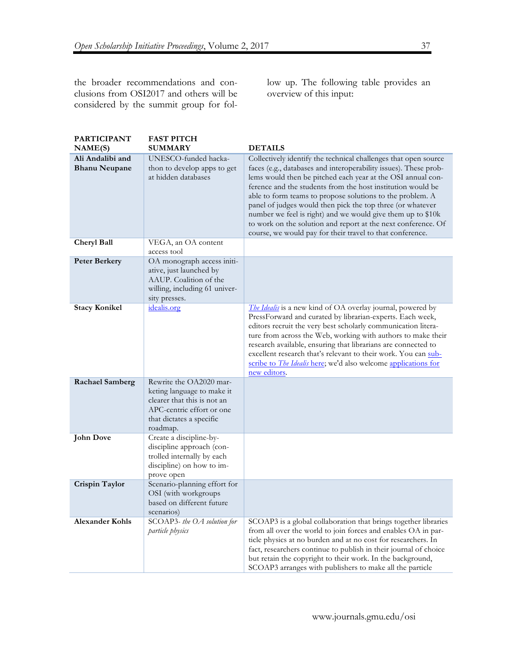the broader recommendations and conclusions from OSI2017 and others will be considered by the summit group for follow up. The following table provides an overview of this input:

| <b>PARTICIPANT</b>                       | <b>FAST PITCH</b>                                                                                                                                         |                                                                                                                                                                                                                                                                                                                                                                                                                                                                                                                                                                                           |
|------------------------------------------|-----------------------------------------------------------------------------------------------------------------------------------------------------------|-------------------------------------------------------------------------------------------------------------------------------------------------------------------------------------------------------------------------------------------------------------------------------------------------------------------------------------------------------------------------------------------------------------------------------------------------------------------------------------------------------------------------------------------------------------------------------------------|
| NAME(S)                                  | <b>SUMMARY</b>                                                                                                                                            | <b>DETAILS</b>                                                                                                                                                                                                                                                                                                                                                                                                                                                                                                                                                                            |
| Ali Andalibi and<br><b>Bhanu Neupane</b> | UNESCO-funded hacka-<br>thon to develop apps to get<br>at hidden databases                                                                                | Collectively identify the technical challenges that open source<br>faces (e.g., databases and interoperability issues). These prob-<br>lems would then be pitched each year at the OSI annual con-<br>ference and the students from the host institution would be<br>able to form teams to propose solutions to the problem. A<br>panel of judges would then pick the top three (or whatever<br>number we feel is right) and we would give them up to \$10k<br>to work on the solution and report at the next conference. Of<br>course, we would pay for their travel to that conference. |
| Cheryl Ball                              | VEGA, an OA content<br>access tool                                                                                                                        |                                                                                                                                                                                                                                                                                                                                                                                                                                                                                                                                                                                           |
| <b>Peter Berkery</b>                     | OA monograph access initi-<br>ative, just launched by<br>AAUP. Coalition of the<br>willing, including 61 univer-<br>sity presses.                         |                                                                                                                                                                                                                                                                                                                                                                                                                                                                                                                                                                                           |
| <b>Stacy Konikel</b>                     | idealis.org                                                                                                                                               | The Idealis is a new kind of OA overlay journal, powered by<br>PressForward and curated by librarian-experts. Each week,<br>editors recruit the very best scholarly communication litera-<br>ture from across the Web, working with authors to make their<br>research available, ensuring that librarians are connected to<br>excellent research that's relevant to their work. You can sub-<br>scribe to <i>The Idealis</i> here; we'd also welcome applications for<br>new editors.                                                                                                     |
| <b>Rachael Samberg</b>                   | Rewrite the OA2020 mar-<br>keting language to make it<br>clearer that this is not an<br>APC-centric effort or one<br>that dictates a specific<br>roadmap. |                                                                                                                                                                                                                                                                                                                                                                                                                                                                                                                                                                                           |
| John Dove                                | Create a discipline-by-<br>discipline approach (con-<br>trolled internally by each<br>discipline) on how to im-<br>prove open                             |                                                                                                                                                                                                                                                                                                                                                                                                                                                                                                                                                                                           |
| Crispin Taylor                           | Scenario-planning effort for<br>OSI (with workgroups<br>based on different future<br>scenarios)                                                           |                                                                                                                                                                                                                                                                                                                                                                                                                                                                                                                                                                                           |
| <b>Alexander Kohls</b>                   | SCOAP3- the OA solution for<br>particle physics                                                                                                           | SCOAP3 is a global collaboration that brings together libraries<br>from all over the world to join forces and enables OA in par-<br>ticle physics at no burden and at no cost for researchers. In<br>fact, researchers continue to publish in their journal of choice<br>but retain the copyright to their work. In the background,<br>SCOAP3 arranges with publishers to make all the particle                                                                                                                                                                                           |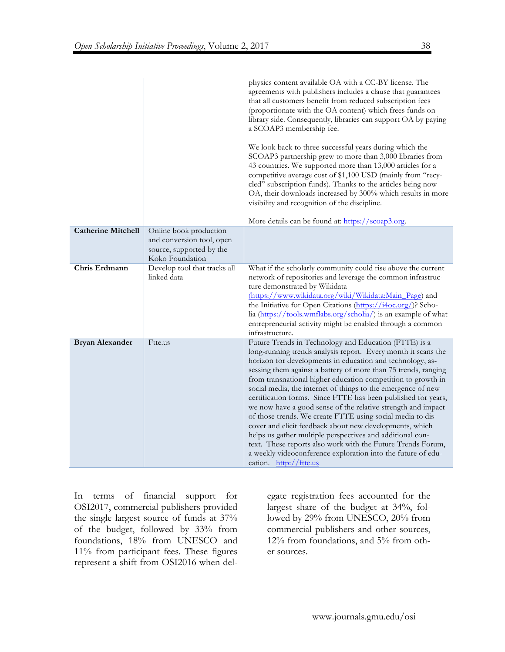|                           |                                                                                                    | physics content available OA with a CC-BY license. The<br>agreements with publishers includes a clause that guarantees<br>that all customers benefit from reduced subscription fees<br>(proportionate with the OA content) which frees funds on<br>library side. Consequently, libraries can support OA by paying<br>a SCOAP3 membership fee.<br>We look back to three successful years during which the<br>SCOAP3 partnership grew to more than 3,000 libraries from<br>43 countries. We supported more than 13,000 articles for a<br>competitive average cost of \$1,100 USD (mainly from "recy-<br>cled" subscription funds). Thanks to the articles being now<br>OA, their downloads increased by 300% which results in more<br>visibility and recognition of the discipline.<br>More details can be found at: https://scoap3.org.                                |
|---------------------------|----------------------------------------------------------------------------------------------------|-----------------------------------------------------------------------------------------------------------------------------------------------------------------------------------------------------------------------------------------------------------------------------------------------------------------------------------------------------------------------------------------------------------------------------------------------------------------------------------------------------------------------------------------------------------------------------------------------------------------------------------------------------------------------------------------------------------------------------------------------------------------------------------------------------------------------------------------------------------------------|
| <b>Catherine Mitchell</b> | Online book production<br>and conversion tool, open<br>source, supported by the<br>Koko Foundation |                                                                                                                                                                                                                                                                                                                                                                                                                                                                                                                                                                                                                                                                                                                                                                                                                                                                       |
| Chris Erdmann             | Develop tool that tracks all<br>linked data                                                        | What if the scholarly community could rise above the current<br>network of repositories and leverage the common infrastruc-<br>ture demonstrated by Wikidata<br>(https://www.wikidata.org/wiki/Wikidata:Main_Page) and<br>the Initiative for Open Citations (https://i4oc.org/)? Scho-<br>lia (https://tools.wmflabs.org/scholia/) is an example of what<br>entrepreneurial activity might be enabled through a common<br>infrastructure.                                                                                                                                                                                                                                                                                                                                                                                                                             |
| <b>Bryan Alexander</b>    | Ftte.us                                                                                            | Future Trends in Technology and Education (FTTE) is a<br>long-running trends analysis report. Every month it scans the<br>horizon for developments in education and technology, as-<br>sessing them against a battery of more than 75 trends, ranging<br>from transnational higher education competition to growth in<br>social media, the internet of things to the emergence of new<br>certification forms. Since FTTE has been published for years,<br>we now have a good sense of the relative strength and impact<br>of those trends. We create FTTE using social media to dis-<br>cover and elicit feedback about new developments, which<br>helps us gather multiple perspectives and additional con-<br>text. These reports also work with the Future Trends Forum,<br>a weekly videoconference exploration into the future of edu-<br>cation. http://ftte.us |

In terms of financial support for OSI2017, commercial publishers provided the single largest source of funds at 37% of the budget, followed by 33% from foundations, 18% from UNESCO and 11% from participant fees. These figures represent a shift from OSI2016 when delegate registration fees accounted for the largest share of the budget at 34%, followed by 29% from UNESCO, 20% from commercial publishers and other sources, 12% from foundations, and 5% from other sources.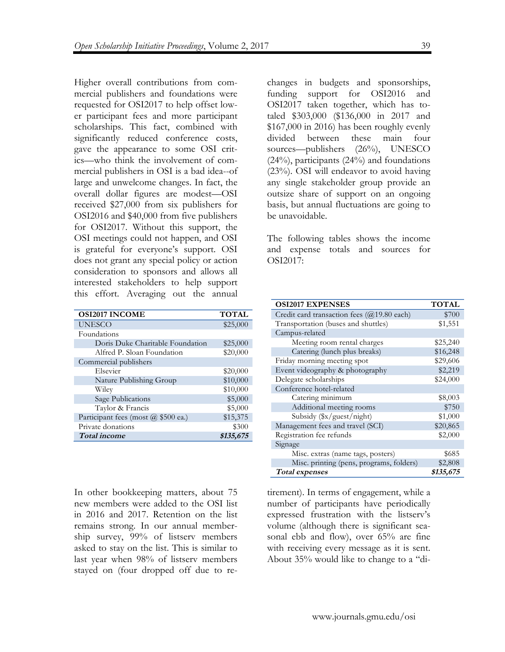Higher overall contributions from commercial publishers and foundations were requested for OSI2017 to help offset lower participant fees and more participant scholarships. This fact, combined with significantly reduced conference costs, gave the appearance to some OSI critics—who think the involvement of commercial publishers in OSI is a bad idea--of large and unwelcome changes. In fact, the overall dollar figures are modest—OSI received \$27,000 from six publishers for OSI2016 and \$40,000 from five publishers for OSI2017. Without this support, the OSI meetings could not happen, and OSI is grateful for everyone's support. OSI does not grant any special policy or action consideration to sponsors and allows all interested stakeholders to help support this effort. Averaging out the annual

| <b>OSI2017 INCOME</b>               | <b>TOTAL</b> |
|-------------------------------------|--------------|
| <b>UNESCO</b>                       | \$25,000     |
| Foundations                         |              |
| Doris Duke Charitable Foundation    | \$25,000     |
| Alfred P. Sloan Foundation          | \$20,000     |
| Commercial publishers               |              |
| Elsevier                            | \$20,000     |
| Nature Publishing Group             | \$10,000     |
| Wiley                               | \$10,000     |
| Sage Publications                   | \$5,000      |
| Taylor & Francis                    | \$5,000      |
| Participant fees (most @ \$500 ea.) | \$15,375     |
| Private donations                   | \$300        |
| <b>Total</b> income                 | \$135,675    |

In other bookkeeping matters, about 75 new members were added to the OSI list in 2016 and 2017. Retention on the list remains strong. In our annual membership survey, 99% of listserv members asked to stay on the list. This is similar to last year when 98% of listserv members stayed on (four dropped off due to rechanges in budgets and sponsorships, funding support for OSI2016 and OSI2017 taken together, which has totaled \$303,000 (\$136,000 in 2017 and \$167,000 in 2016) has been roughly evenly divided between these main four sources—publishers (26%), UNESCO (24%), participants (24%) and foundations (23%). OSI will endeavor to avoid having any single stakeholder group provide an outsize share of support on an ongoing basis, but annual fluctuations are going to be unavoidable.

The following tables shows the income and expense totals and sources for OSI2017:

| <b>OSI2017 EXPENSES</b>                              | <b>TOTAL</b> |  |  |
|------------------------------------------------------|--------------|--|--|
| Credit card transaction fees $(Q19.80 \text{ each})$ | \$700        |  |  |
| Transportation (buses and shuttles)                  | \$1,551      |  |  |
| Campus-related                                       |              |  |  |
| Meeting room rental charges                          | \$25,240     |  |  |
| Catering (lunch plus breaks)                         | \$16,248     |  |  |
| Friday morning meeting spot                          | \$29,606     |  |  |
| Event videography & photography                      | \$2,219      |  |  |
| Delegate scholarships                                | \$24,000     |  |  |
| Conference hotel-related                             |              |  |  |
| Catering minimum                                     | \$8,003      |  |  |
| Additional meeting rooms                             | \$750        |  |  |
| Subsidy $(\frac{sx}{g}$ uest/night)                  | \$1,000      |  |  |
| Management fees and travel (SCI)                     | \$20,865     |  |  |
| Registration fee refunds                             | \$2,000      |  |  |
| Signage                                              |              |  |  |
| Misc. extras (name tags, posters)                    | \$685        |  |  |
| Misc. printing (pens, programs, folders)             | \$2,808      |  |  |
| <b>Total</b> expenses                                | \$135,675    |  |  |

tirement). In terms of engagement, while a number of participants have periodically expressed frustration with the listserv's volume (although there is significant seasonal ebb and flow), over 65% are fine with receiving every message as it is sent. About 35% would like to change to a "di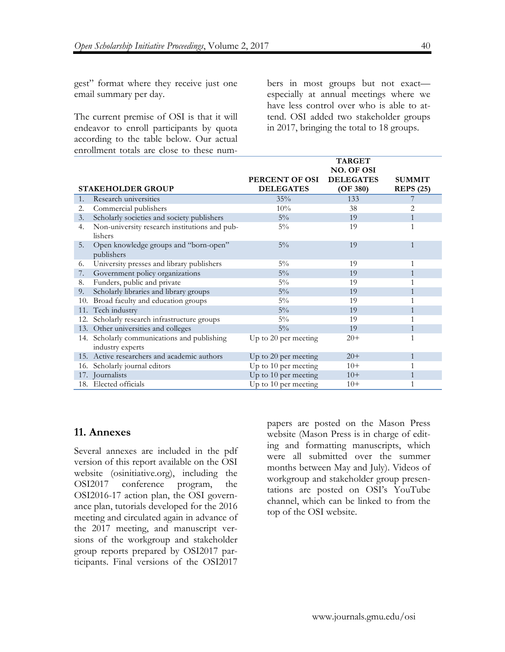gest" format where they receive just one email summary per day.

The current premise of OSI is that it will endeavor to enroll participants by quota according to the table below. Our actual enrollment totals are close to these numbers in most groups but not exact especially at annual meetings where we have less control over who is able to attend. OSI added two stakeholder groups in 2017, bringing the total to 18 groups.

|                |                                               |                      | <b>TARGET</b>     |                  |
|----------------|-----------------------------------------------|----------------------|-------------------|------------------|
|                |                                               |                      | <b>NO. OF OSI</b> |                  |
|                |                                               | PERCENT OF OSI       | <b>DELEGATES</b>  | <b>SUMMIT</b>    |
|                | <b>STAKEHOLDER GROUP</b>                      | <b>DELEGATES</b>     | (OF 380)          | <b>REPS</b> (25) |
| $\mathbf{1}$ . | Research universities                         | 35%                  | 133               | 7                |
| 2.             | Commercial publishers                         | 10%                  | 38                | 2                |
| 3.             | Scholarly societies and society publishers    | $5\%$                | 19                |                  |
| 4.             | Non-university research institutions and pub- | $5\%$                | 19                | 1                |
|                | lishers                                       |                      |                   |                  |
| 5.             | Open knowledge groups and "born-open"         | $5\%$                | 19                | $\mathbf{1}$     |
|                | publishers                                    |                      |                   |                  |
| 6.             | University presses and library publishers     | $5\%$                | 19                | 1                |
| 7.             | Government policy organizations               | $5\%$                | 19                | 1                |
| 8.             | Funders, public and private                   | $5\%$                | 19                |                  |
| 9.             | Scholarly libraries and library groups        | $5\%$                | 19                |                  |
| 10.            | Broad faculty and education groups            | $5\%$                | 19                |                  |
| 11.            | Tech industry                                 | $5\%$                | 19                |                  |
| 12.            | Scholarly research infrastructure groups      | $5\%$                | 19                | 1                |
|                | 13. Other universities and colleges           | $5\%$                | 19                | $\mathbf{1}$     |
|                | 14. Scholarly communications and publishing   | Up to 20 per meeting | $20+$             | 1                |
|                | industry experts                              |                      |                   |                  |
|                | 15. Active researchers and academic authors   | Up to 20 per meeting | $20+$             | $\mathbf{1}$     |
| 16.            | Scholarly journal editors                     | Up to 10 per meeting | $10+$             | 1                |
|                | 17. Journalists                               | Up to 10 per meeting | $10+$             | 1                |
|                | 18. Elected officials                         | Up to 10 per meeting | $10+$             | 1                |

# **11. Annexes**

Several annexes are included in the pdf version of this report available on the OSI website (osinitiative.org), including the OSI2017 conference program, the OSI2016-17 action plan, the OSI governance plan, tutorials developed for the 2016 meeting and circulated again in advance of the 2017 meeting, and manuscript versions of the workgroup and stakeholder group reports prepared by OSI2017 participants. Final versions of the OSI2017 papers are posted on the Mason Press website (Mason Press is in charge of editing and formatting manuscripts, which were all submitted over the summer months between May and July). Videos of workgroup and stakeholder group presentations are posted on OSI's YouTube channel, which can be linked to from the top of the OSI website.